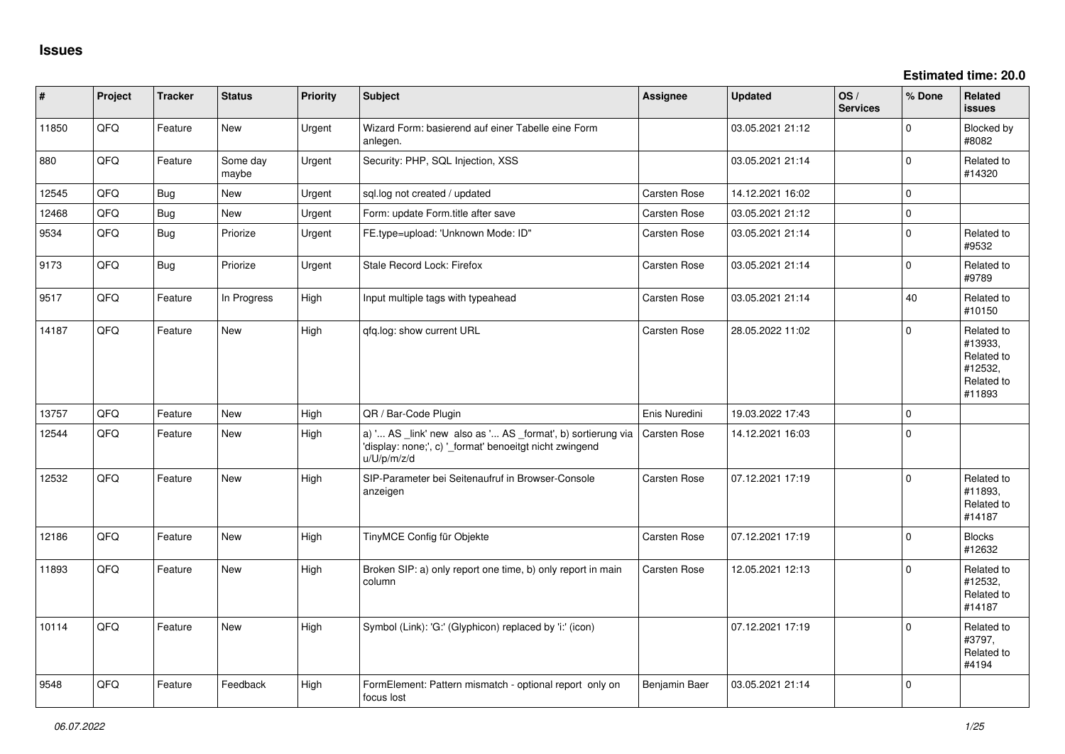**Estimated time: 20.0**

| #     | Project | <b>Tracker</b> | <b>Status</b>     | <b>Priority</b> | <b>Subject</b>                                                                                                                        | Assignee            | <b>Updated</b>   | OS/<br><b>Services</b> | % Done   | Related<br><b>issues</b>                                               |
|-------|---------|----------------|-------------------|-----------------|---------------------------------------------------------------------------------------------------------------------------------------|---------------------|------------------|------------------------|----------|------------------------------------------------------------------------|
| 11850 | QFQ     | Feature        | New               | Urgent          | Wizard Form: basierend auf einer Tabelle eine Form<br>anlegen.                                                                        |                     | 03.05.2021 21:12 |                        | $\Omega$ | Blocked by<br>#8082                                                    |
| 880   | QFQ     | Feature        | Some day<br>maybe | Urgent          | Security: PHP, SQL Injection, XSS                                                                                                     |                     | 03.05.2021 21:14 |                        | $\Omega$ | Related to<br>#14320                                                   |
| 12545 | QFQ     | <b>Bug</b>     | <b>New</b>        | Urgent          | sql.log not created / updated                                                                                                         | <b>Carsten Rose</b> | 14.12.2021 16:02 |                        | $\Omega$ |                                                                        |
| 12468 | QFQ     | <b>Bug</b>     | New               | Urgent          | Form: update Form.title after save                                                                                                    | <b>Carsten Rose</b> | 03.05.2021 21:12 |                        | $\Omega$ |                                                                        |
| 9534  | QFQ     | Bug            | Priorize          | Urgent          | FE.type=upload: 'Unknown Mode: ID"                                                                                                    | Carsten Rose        | 03.05.2021 21:14 |                        | $\Omega$ | Related to<br>#9532                                                    |
| 9173  | QFQ     | Bug            | Priorize          | Urgent          | Stale Record Lock: Firefox                                                                                                            | Carsten Rose        | 03.05.2021 21:14 |                        | $\Omega$ | Related to<br>#9789                                                    |
| 9517  | QFQ     | Feature        | In Progress       | High            | Input multiple tags with typeahead                                                                                                    | Carsten Rose        | 03.05.2021 21:14 |                        | 40       | Related to<br>#10150                                                   |
| 14187 | QFQ     | Feature        | New               | High            | qfq.log: show current URL                                                                                                             | <b>Carsten Rose</b> | 28.05.2022 11:02 |                        | $\Omega$ | Related to<br>#13933,<br>Related to<br>#12532,<br>Related to<br>#11893 |
| 13757 | QFQ     | Feature        | <b>New</b>        | High            | QR / Bar-Code Plugin                                                                                                                  | Enis Nuredini       | 19.03.2022 17:43 |                        | 0        |                                                                        |
| 12544 | QFQ     | Feature        | New               | High            | a) ' AS _link' new also as ' AS _format', b) sortierung via<br>'display: none;', c) '_format' benoeitgt nicht zwingend<br>u/U/p/m/z/d | <b>Carsten Rose</b> | 14.12.2021 16:03 |                        | $\Omega$ |                                                                        |
| 12532 | QFQ     | Feature        | New               | High            | SIP-Parameter bei Seitenaufruf in Browser-Console<br>anzeigen                                                                         | Carsten Rose        | 07.12.2021 17:19 |                        | $\Omega$ | Related to<br>#11893,<br>Related to<br>#14187                          |
| 12186 | QFQ     | Feature        | New               | High            | TinyMCE Config für Objekte                                                                                                            | <b>Carsten Rose</b> | 07.12.2021 17:19 |                        | $\Omega$ | <b>Blocks</b><br>#12632                                                |
| 11893 | QFQ     | Feature        | New               | High            | Broken SIP: a) only report one time, b) only report in main<br>column                                                                 | Carsten Rose        | 12.05.2021 12:13 |                        | $\Omega$ | Related to<br>#12532,<br>Related to<br>#14187                          |
| 10114 | QFQ     | Feature        | New               | High            | Symbol (Link): 'G:' (Glyphicon) replaced by 'i:' (icon)                                                                               |                     | 07.12.2021 17:19 |                        | $\Omega$ | Related to<br>#3797,<br>Related to<br>#4194                            |
| 9548  | QFQ     | Feature        | Feedback          | High            | FormElement: Pattern mismatch - optional report only on<br>focus lost                                                                 | Benjamin Baer       | 03.05.2021 21:14 |                        | $\Omega$ |                                                                        |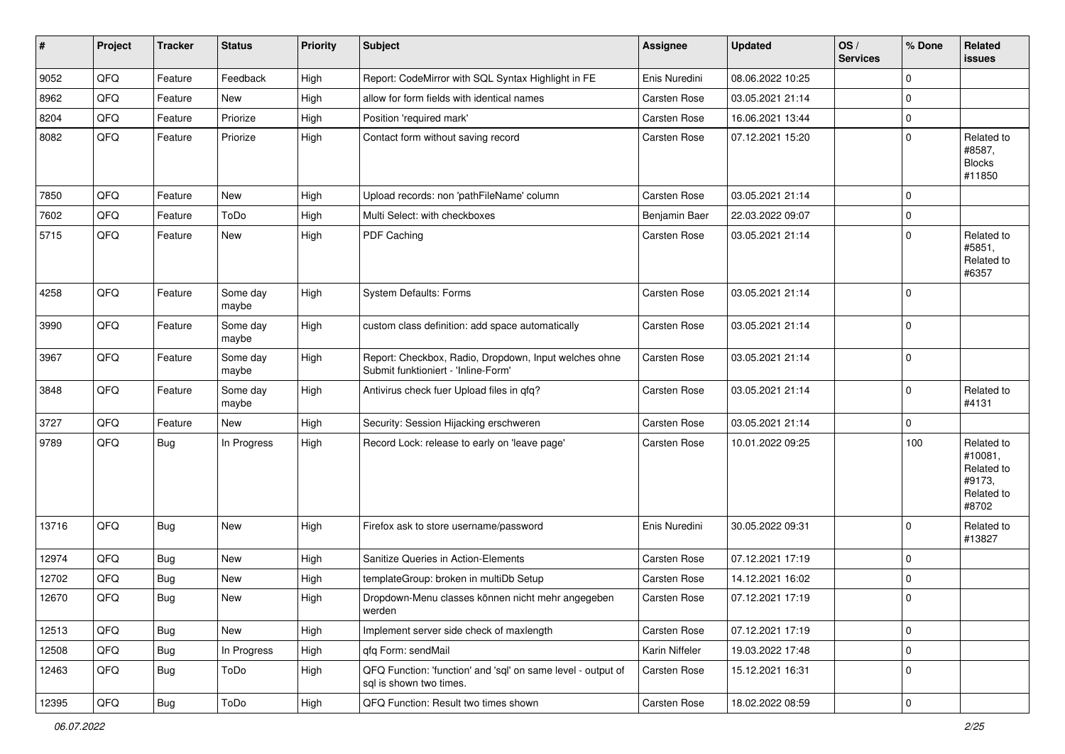| $\vert$ # | Project | <b>Tracker</b> | <b>Status</b>     | <b>Priority</b> | <b>Subject</b>                                                                               | Assignee            | <b>Updated</b>   | OS/<br><b>Services</b> | % Done      | Related<br>issues                                                    |
|-----------|---------|----------------|-------------------|-----------------|----------------------------------------------------------------------------------------------|---------------------|------------------|------------------------|-------------|----------------------------------------------------------------------|
| 9052      | QFQ     | Feature        | Feedback          | High            | Report: CodeMirror with SQL Syntax Highlight in FE                                           | Enis Nuredini       | 08.06.2022 10:25 |                        | $\mathbf 0$ |                                                                      |
| 8962      | QFQ     | Feature        | New               | High            | allow for form fields with identical names                                                   | <b>Carsten Rose</b> | 03.05.2021 21:14 |                        | $\mathbf 0$ |                                                                      |
| 8204      | QFQ     | Feature        | Priorize          | High            | Position 'required mark'                                                                     | Carsten Rose        | 16.06.2021 13:44 |                        | $\mathbf 0$ |                                                                      |
| 8082      | QFQ     | Feature        | Priorize          | High            | Contact form without saving record                                                           | <b>Carsten Rose</b> | 07.12.2021 15:20 |                        | $\Omega$    | Related to<br>#8587,<br><b>Blocks</b><br>#11850                      |
| 7850      | QFQ     | Feature        | New               | High            | Upload records: non 'pathFileName' column                                                    | Carsten Rose        | 03.05.2021 21:14 |                        | $\Omega$    |                                                                      |
| 7602      | QFQ     | Feature        | ToDo              | High            | Multi Select: with checkboxes                                                                | Benjamin Baer       | 22.03.2022 09:07 |                        | $\mathbf 0$ |                                                                      |
| 5715      | QFQ     | Feature        | New               | High            | PDF Caching                                                                                  | <b>Carsten Rose</b> | 03.05.2021 21:14 |                        | $\mathbf 0$ | Related to<br>#5851,<br>Related to<br>#6357                          |
| 4258      | QFQ     | Feature        | Some day<br>maybe | High            | System Defaults: Forms                                                                       | <b>Carsten Rose</b> | 03.05.2021 21:14 |                        | $\Omega$    |                                                                      |
| 3990      | QFQ     | Feature        | Some day<br>maybe | High            | custom class definition: add space automatically                                             | <b>Carsten Rose</b> | 03.05.2021 21:14 |                        | $\Omega$    |                                                                      |
| 3967      | QFQ     | Feature        | Some day<br>maybe | High            | Report: Checkbox, Radio, Dropdown, Input welches ohne<br>Submit funktioniert - 'Inline-Form' | <b>Carsten Rose</b> | 03.05.2021 21:14 |                        | $\Omega$    |                                                                      |
| 3848      | QFQ     | Feature        | Some day<br>maybe | High            | Antivirus check fuer Upload files in gfg?                                                    | Carsten Rose        | 03.05.2021 21:14 |                        | $\mathbf 0$ | Related to<br>#4131                                                  |
| 3727      | QFQ     | Feature        | New               | High            | Security: Session Hijacking erschweren                                                       | Carsten Rose        | 03.05.2021 21:14 |                        | 0           |                                                                      |
| 9789      | QFQ     | Bug            | In Progress       | High            | Record Lock: release to early on 'leave page'                                                | <b>Carsten Rose</b> | 10.01.2022 09:25 |                        | 100         | Related to<br>#10081,<br>Related to<br>#9173,<br>Related to<br>#8702 |
| 13716     | QFQ     | Bug            | New               | High            | Firefox ask to store username/password                                                       | Enis Nuredini       | 30.05.2022 09:31 |                        | $\Omega$    | Related to<br>#13827                                                 |
| 12974     | QFQ     | <b>Bug</b>     | New               | High            | Sanitize Queries in Action-Elements                                                          | <b>Carsten Rose</b> | 07.12.2021 17:19 |                        | $\Omega$    |                                                                      |
| 12702     | QFQ     | <b>Bug</b>     | New               | High            | templateGroup: broken in multiDb Setup                                                       | <b>Carsten Rose</b> | 14.12.2021 16:02 |                        | $\mathbf 0$ |                                                                      |
| 12670     | QFQ     | Bug            | New               | High            | Dropdown-Menu classes können nicht mehr angegeben<br>werden                                  | <b>Carsten Rose</b> | 07.12.2021 17:19 |                        | $\Omega$    |                                                                      |
| 12513     | QFG     | <b>Bug</b>     | New               | High            | Implement server side check of maxlength                                                     | Carsten Rose        | 07.12.2021 17:19 |                        | 0           |                                                                      |
| 12508     | QFQ     | <b>Bug</b>     | In Progress       | High            | qfq Form: sendMail                                                                           | Karin Niffeler      | 19.03.2022 17:48 |                        | 0           |                                                                      |
| 12463     | QFQ     | <b>Bug</b>     | ToDo              | High            | QFQ Function: 'function' and 'sql' on same level - output of<br>sql is shown two times.      | Carsten Rose        | 15.12.2021 16:31 |                        | 0           |                                                                      |
| 12395     | QFG     | <b>Bug</b>     | ToDo              | High            | QFQ Function: Result two times shown                                                         | Carsten Rose        | 18.02.2022 08:59 |                        | $\pmb{0}$   |                                                                      |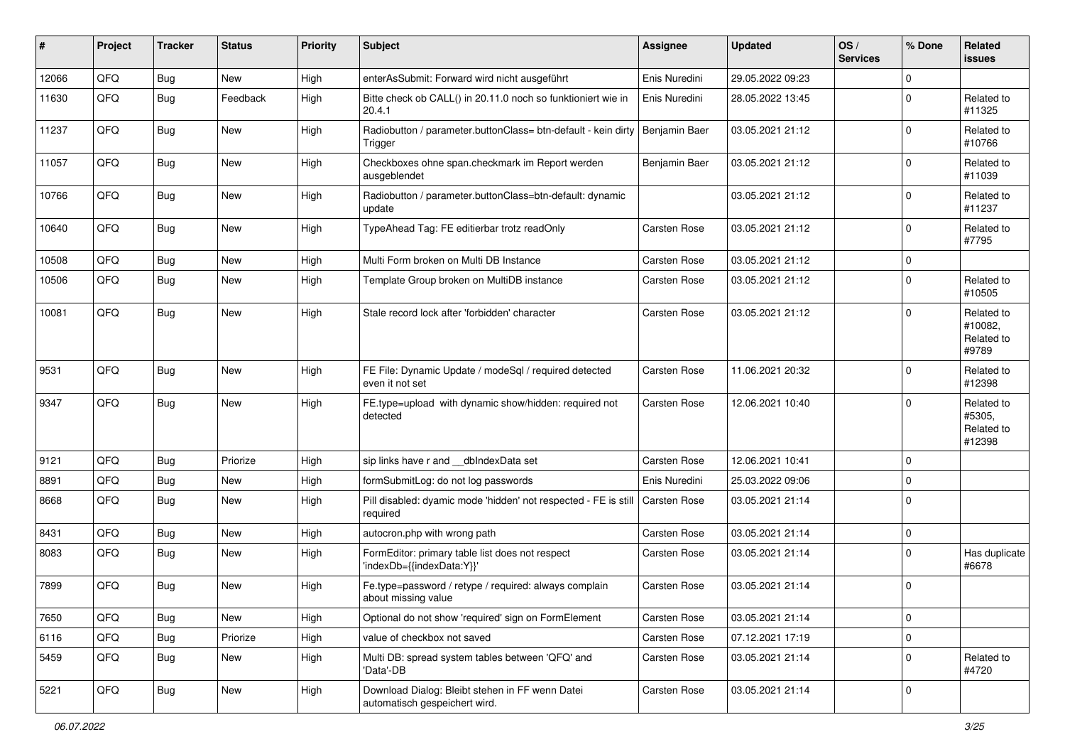| #     | Project | <b>Tracker</b> | <b>Status</b> | <b>Priority</b> | <b>Subject</b>                                                                   | Assignee            | <b>Updated</b>   | OS/<br><b>Services</b> | % Done      | Related<br>issues                            |
|-------|---------|----------------|---------------|-----------------|----------------------------------------------------------------------------------|---------------------|------------------|------------------------|-------------|----------------------------------------------|
| 12066 | QFQ     | Bug            | New           | High            | enterAsSubmit: Forward wird nicht ausgeführt                                     | Enis Nuredini       | 29.05.2022 09:23 |                        | $\mathbf 0$ |                                              |
| 11630 | QFQ     | Bug            | Feedback      | High            | Bitte check ob CALL() in 20.11.0 noch so funktioniert wie in<br>20.4.1           | Enis Nuredini       | 28.05.2022 13:45 |                        | $\pmb{0}$   | Related to<br>#11325                         |
| 11237 | QFQ     | <b>Bug</b>     | New           | High            | Radiobutton / parameter.buttonClass= btn-default - kein dirty<br>Trigger         | Benjamin Baer       | 03.05.2021 21:12 |                        | $\mathbf 0$ | Related to<br>#10766                         |
| 11057 | QFQ     | Bug            | New           | High            | Checkboxes ohne span.checkmark im Report werden<br>ausgeblendet                  | Benjamin Baer       | 03.05.2021 21:12 |                        | $\mathbf 0$ | Related to<br>#11039                         |
| 10766 | QFQ     | Bug            | New           | High            | Radiobutton / parameter.buttonClass=btn-default: dynamic<br>update               |                     | 03.05.2021 21:12 |                        | $\mathbf 0$ | Related to<br>#11237                         |
| 10640 | QFQ     | Bug            | New           | High            | TypeAhead Tag: FE editierbar trotz readOnly                                      | Carsten Rose        | 03.05.2021 21:12 |                        | $\mathbf 0$ | Related to<br>#7795                          |
| 10508 | QFQ     | <b>Bug</b>     | <b>New</b>    | High            | Multi Form broken on Multi DB Instance                                           | <b>Carsten Rose</b> | 03.05.2021 21:12 |                        | 0           |                                              |
| 10506 | QFQ     | Bug            | <b>New</b>    | High            | Template Group broken on MultiDB instance                                        | <b>Carsten Rose</b> | 03.05.2021 21:12 |                        | $\pmb{0}$   | Related to<br>#10505                         |
| 10081 | QFQ     | Bug            | New           | High            | Stale record lock after 'forbidden' character                                    | <b>Carsten Rose</b> | 03.05.2021 21:12 |                        | $\mathbf 0$ | Related to<br>#10082.<br>Related to<br>#9789 |
| 9531  | QFQ     | <b>Bug</b>     | <b>New</b>    | High            | FE File: Dynamic Update / modeSql / required detected<br>even it not set         | Carsten Rose        | 11.06.2021 20:32 |                        | $\mathbf 0$ | Related to<br>#12398                         |
| 9347  | QFQ     | Bug            | New           | High            | FE.type=upload with dynamic show/hidden: required not<br>detected                | <b>Carsten Rose</b> | 12.06.2021 10:40 |                        | $\mathbf 0$ | Related to<br>#5305,<br>Related to<br>#12398 |
| 9121  | QFQ     | Bug            | Priorize      | High            | sip links have r and __dbIndexData set                                           | <b>Carsten Rose</b> | 12.06.2021 10:41 |                        | $\Omega$    |                                              |
| 8891  | QFQ     | <b>Bug</b>     | <b>New</b>    | High            | formSubmitLog: do not log passwords                                              | Enis Nuredini       | 25.03.2022 09:06 |                        | $\pmb{0}$   |                                              |
| 8668  | QFQ     | Bug            | <b>New</b>    | High            | Pill disabled: dyamic mode 'hidden' not respected - FE is still<br>required      | Carsten Rose        | 03.05.2021 21:14 |                        | $\mathbf 0$ |                                              |
| 8431  | QFQ     | Bug            | New           | High            | autocron.php with wrong path                                                     | Carsten Rose        | 03.05.2021 21:14 |                        | $\mathbf 0$ |                                              |
| 8083  | QFQ     | Bug            | <b>New</b>    | High            | FormEditor: primary table list does not respect<br>'indexDb={{indexData:Y}}'     | <b>Carsten Rose</b> | 03.05.2021 21:14 |                        | 0           | Has duplicate<br>#6678                       |
| 7899  | QFQ     | Bug            | <b>New</b>    | High            | Fe.type=password / retype / required: always complain<br>about missing value     | <b>Carsten Rose</b> | 03.05.2021 21:14 |                        | 0           |                                              |
| 7650  | QFQ     | Bug            | New           | High            | Optional do not show 'required' sign on FormElement                              | <b>Carsten Rose</b> | 03.05.2021 21:14 |                        | $\mathbf 0$ |                                              |
| 6116  | QFQ     | Bug            | Priorize      | High            | value of checkbox not saved                                                      | Carsten Rose        | 07.12.2021 17:19 |                        | 0           |                                              |
| 5459  | QFQ     | <b>Bug</b>     | New           | High            | Multi DB: spread system tables between 'QFQ' and<br>'Data'-DB                    | Carsten Rose        | 03.05.2021 21:14 |                        | $\mathbf 0$ | Related to<br>#4720                          |
| 5221  | QFQ     | <b>Bug</b>     | New           | High            | Download Dialog: Bleibt stehen in FF wenn Datei<br>automatisch gespeichert wird. | Carsten Rose        | 03.05.2021 21:14 |                        | $\mathbf 0$ |                                              |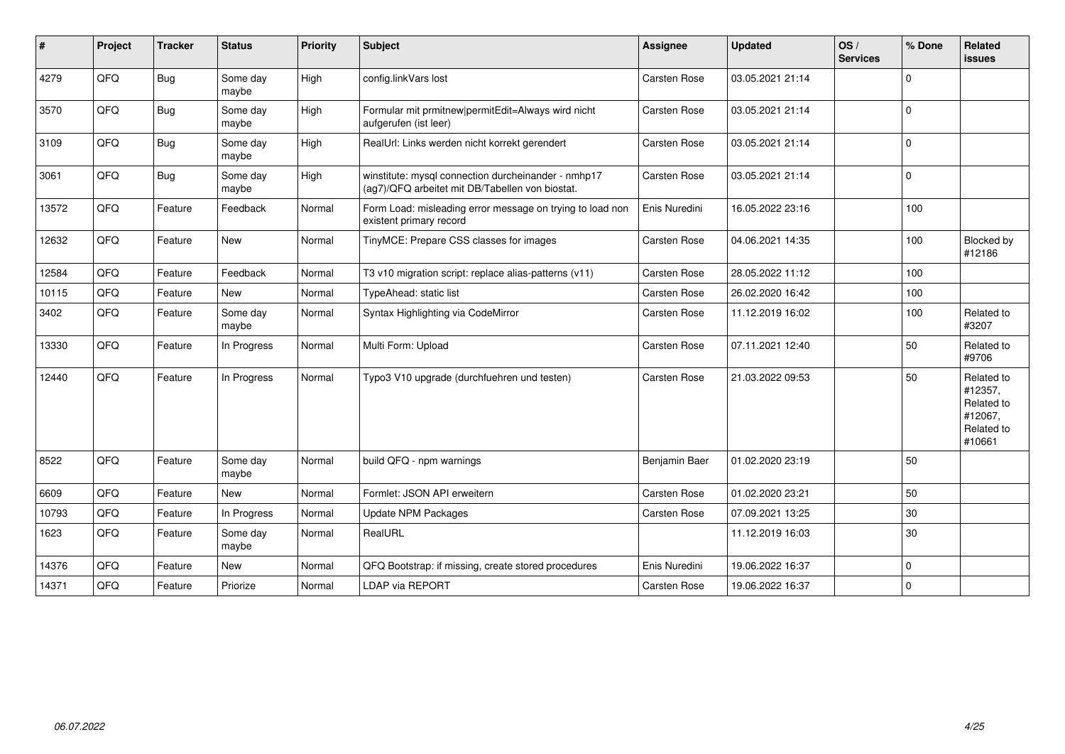| #     | Project | <b>Tracker</b> | <b>Status</b>     | <b>Priority</b> | <b>Subject</b>                                                                                         | <b>Assignee</b>     | <b>Updated</b>   | OS/<br><b>Services</b> | % Done      | Related<br><b>issues</b>                                               |
|-------|---------|----------------|-------------------|-----------------|--------------------------------------------------------------------------------------------------------|---------------------|------------------|------------------------|-------------|------------------------------------------------------------------------|
| 4279  | QFQ     | <b>Bug</b>     | Some day<br>maybe | High            | config.linkVars lost                                                                                   | Carsten Rose        | 03.05.2021 21:14 |                        | $\Omega$    |                                                                        |
| 3570  | QFQ     | <b>Bug</b>     | Some day<br>maybe | High            | Formular mit prmitnew permitEdit=Always wird nicht<br>aufgerufen (ist leer)                            | <b>Carsten Rose</b> | 03.05.2021 21:14 |                        | $\Omega$    |                                                                        |
| 3109  | QFQ     | Bug            | Some day<br>maybe | High            | RealUrl: Links werden nicht korrekt gerendert                                                          | Carsten Rose        | 03.05.2021 21:14 |                        | $\mathbf 0$ |                                                                        |
| 3061  | QFQ     | Bug            | Some day<br>maybe | High            | winstitute: mysql connection durcheinander - nmhp17<br>(ag7)/QFQ arbeitet mit DB/Tabellen von biostat. | Carsten Rose        | 03.05.2021 21:14 |                        | $\Omega$    |                                                                        |
| 13572 | QFQ     | Feature        | Feedback          | Normal          | Form Load: misleading error message on trying to load non<br>existent primary record                   | Enis Nuredini       | 16.05.2022 23:16 |                        | 100         |                                                                        |
| 12632 | QFQ     | Feature        | New               | Normal          | TinyMCE: Prepare CSS classes for images                                                                | Carsten Rose        | 04.06.2021 14:35 |                        | 100         | Blocked by<br>#12186                                                   |
| 12584 | QFQ     | Feature        | Feedback          | Normal          | T3 v10 migration script: replace alias-patterns (v11)                                                  | <b>Carsten Rose</b> | 28.05.2022 11:12 |                        | 100         |                                                                        |
| 10115 | QFQ     | Feature        | New               | Normal          | TypeAhead: static list                                                                                 | <b>Carsten Rose</b> | 26.02.2020 16:42 |                        | 100         |                                                                        |
| 3402  | QFQ     | Feature        | Some day<br>maybe | Normal          | Syntax Highlighting via CodeMirror                                                                     | Carsten Rose        | 11.12.2019 16:02 |                        | 100         | Related to<br>#3207                                                    |
| 13330 | QFQ     | Feature        | In Progress       | Normal          | Multi Form: Upload                                                                                     | Carsten Rose        | 07.11.2021 12:40 |                        | 50          | Related to<br>#9706                                                    |
| 12440 | QFQ     | Feature        | In Progress       | Normal          | Typo3 V10 upgrade (durchfuehren und testen)                                                            | <b>Carsten Rose</b> | 21.03.2022 09:53 |                        | 50          | Related to<br>#12357,<br>Related to<br>#12067,<br>Related to<br>#10661 |
| 8522  | QFQ     | Feature        | Some day<br>maybe | Normal          | build QFQ - npm warnings                                                                               | Benjamin Baer       | 01.02.2020 23:19 |                        | 50          |                                                                        |
| 6609  | QFQ     | Feature        | <b>New</b>        | Normal          | Formlet: JSON API erweitern                                                                            | <b>Carsten Rose</b> | 01.02.2020 23:21 |                        | 50          |                                                                        |
| 10793 | QFQ     | Feature        | In Progress       | Normal          | <b>Update NPM Packages</b>                                                                             | Carsten Rose        | 07.09.2021 13:25 |                        | 30          |                                                                        |
| 1623  | QFQ     | Feature        | Some day<br>maybe | Normal          | RealURL                                                                                                |                     | 11.12.2019 16:03 |                        | 30          |                                                                        |
| 14376 | QFQ     | Feature        | New               | Normal          | QFQ Bootstrap: if missing, create stored procedures                                                    | Enis Nuredini       | 19.06.2022 16:37 |                        | $\mathbf 0$ |                                                                        |
| 14371 | QFQ     | Feature        | Priorize          | Normal          | LDAP via REPORT                                                                                        | Carsten Rose        | 19.06.2022 16:37 |                        | $\mathbf 0$ |                                                                        |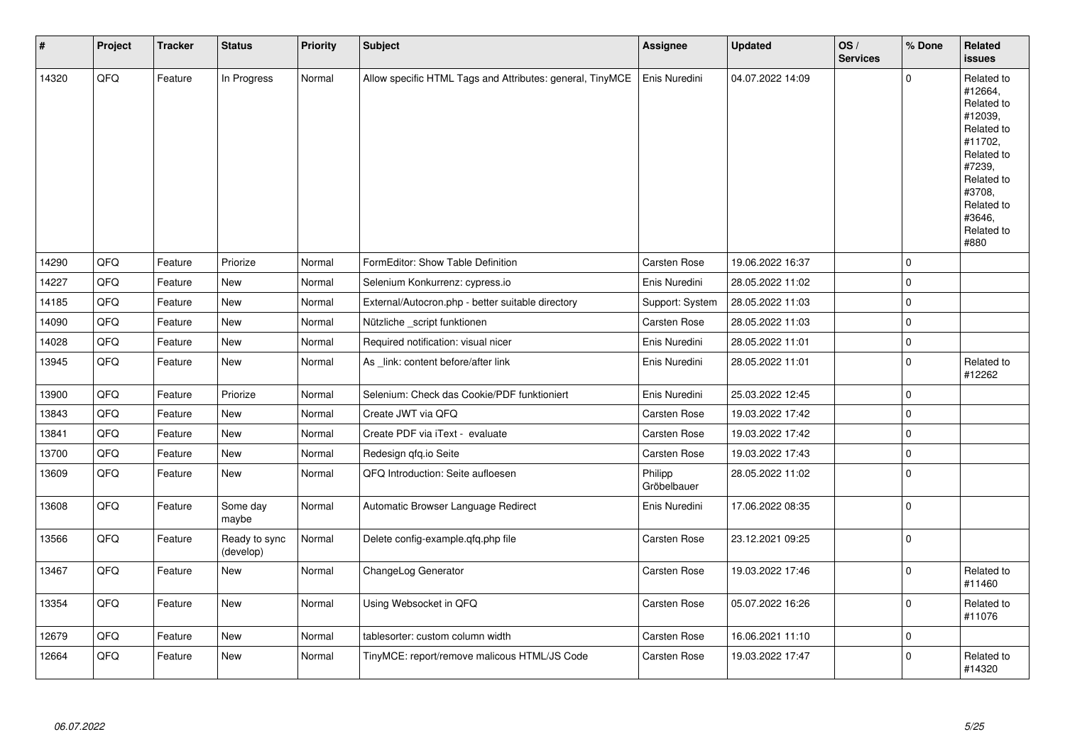| $\vert$ # | Project | <b>Tracker</b> | <b>Status</b>              | <b>Priority</b> | <b>Subject</b>                                            | <b>Assignee</b>        | <b>Updated</b>   | OS/<br><b>Services</b> | % Done      | Related<br><b>issues</b>                                                                                                                                              |
|-----------|---------|----------------|----------------------------|-----------------|-----------------------------------------------------------|------------------------|------------------|------------------------|-------------|-----------------------------------------------------------------------------------------------------------------------------------------------------------------------|
| 14320     | QFQ     | Feature        | In Progress                | Normal          | Allow specific HTML Tags and Attributes: general, TinyMCE | Enis Nuredini          | 04.07.2022 14:09 |                        | $\mathbf 0$ | Related to<br>#12664,<br>Related to<br>#12039,<br>Related to<br>#11702,<br>Related to<br>#7239,<br>Related to<br>#3708,<br>Related to<br>#3646.<br>Related to<br>#880 |
| 14290     | QFQ     | Feature        | Priorize                   | Normal          | FormEditor: Show Table Definition                         | Carsten Rose           | 19.06.2022 16:37 |                        | $\mathbf 0$ |                                                                                                                                                                       |
| 14227     | QFQ     | Feature        | New                        | Normal          | Selenium Konkurrenz: cypress.io                           | Enis Nuredini          | 28.05.2022 11:02 |                        | $\mathbf 0$ |                                                                                                                                                                       |
| 14185     | QFQ     | Feature        | New                        | Normal          | External/Autocron.php - better suitable directory         | Support: System        | 28.05.2022 11:03 |                        | $\pmb{0}$   |                                                                                                                                                                       |
| 14090     | QFQ     | Feature        | New                        | Normal          | Nützliche _script funktionen                              | Carsten Rose           | 28.05.2022 11:03 |                        | $\pmb{0}$   |                                                                                                                                                                       |
| 14028     | QFQ     | Feature        | <b>New</b>                 | Normal          | Required notification: visual nicer                       | Enis Nuredini          | 28.05.2022 11:01 |                        | $\mathbf 0$ |                                                                                                                                                                       |
| 13945     | QFQ     | Feature        | New                        | Normal          | As _link: content before/after link                       | Enis Nuredini          | 28.05.2022 11:01 |                        | $\pmb{0}$   | Related to<br>#12262                                                                                                                                                  |
| 13900     | QFQ     | Feature        | Priorize                   | Normal          | Selenium: Check das Cookie/PDF funktioniert               | Enis Nuredini          | 25.03.2022 12:45 |                        | $\mathbf 0$ |                                                                                                                                                                       |
| 13843     | QFQ     | Feature        | New                        | Normal          | Create JWT via QFQ                                        | Carsten Rose           | 19.03.2022 17:42 |                        | $\pmb{0}$   |                                                                                                                                                                       |
| 13841     | QFQ     | Feature        | New                        | Normal          | Create PDF via iText - evaluate                           | Carsten Rose           | 19.03.2022 17:42 |                        | $\mathbf 0$ |                                                                                                                                                                       |
| 13700     | QFQ     | Feature        | New                        | Normal          | Redesign gfg.io Seite                                     | Carsten Rose           | 19.03.2022 17:43 |                        | $\mathbf 0$ |                                                                                                                                                                       |
| 13609     | QFQ     | Feature        | New                        | Normal          | QFQ Introduction: Seite aufloesen                         | Philipp<br>Gröbelbauer | 28.05.2022 11:02 |                        | $\mathbf 0$ |                                                                                                                                                                       |
| 13608     | QFQ     | Feature        | Some day<br>maybe          | Normal          | Automatic Browser Language Redirect                       | Enis Nuredini          | 17.06.2022 08:35 |                        | $\mathbf 0$ |                                                                                                                                                                       |
| 13566     | QFQ     | Feature        | Ready to sync<br>(develop) | Normal          | Delete config-example.qfq.php file                        | Carsten Rose           | 23.12.2021 09:25 |                        | $\mathbf 0$ |                                                                                                                                                                       |
| 13467     | QFQ     | Feature        | <b>New</b>                 | Normal          | ChangeLog Generator                                       | Carsten Rose           | 19.03.2022 17:46 |                        | $\Omega$    | Related to<br>#11460                                                                                                                                                  |
| 13354     | QFQ     | Feature        | New                        | Normal          | Using Websocket in QFQ                                    | Carsten Rose           | 05.07.2022 16:26 |                        | $\mathbf 0$ | Related to<br>#11076                                                                                                                                                  |
| 12679     | QFQ     | Feature        | New                        | Normal          | tablesorter: custom column width                          | <b>Carsten Rose</b>    | 16.06.2021 11:10 |                        | $\mathbf 0$ |                                                                                                                                                                       |
| 12664     | QFQ     | Feature        | New                        | Normal          | TinyMCE: report/remove malicous HTML/JS Code              | <b>Carsten Rose</b>    | 19.03.2022 17:47 |                        | $\mathbf 0$ | Related to<br>#14320                                                                                                                                                  |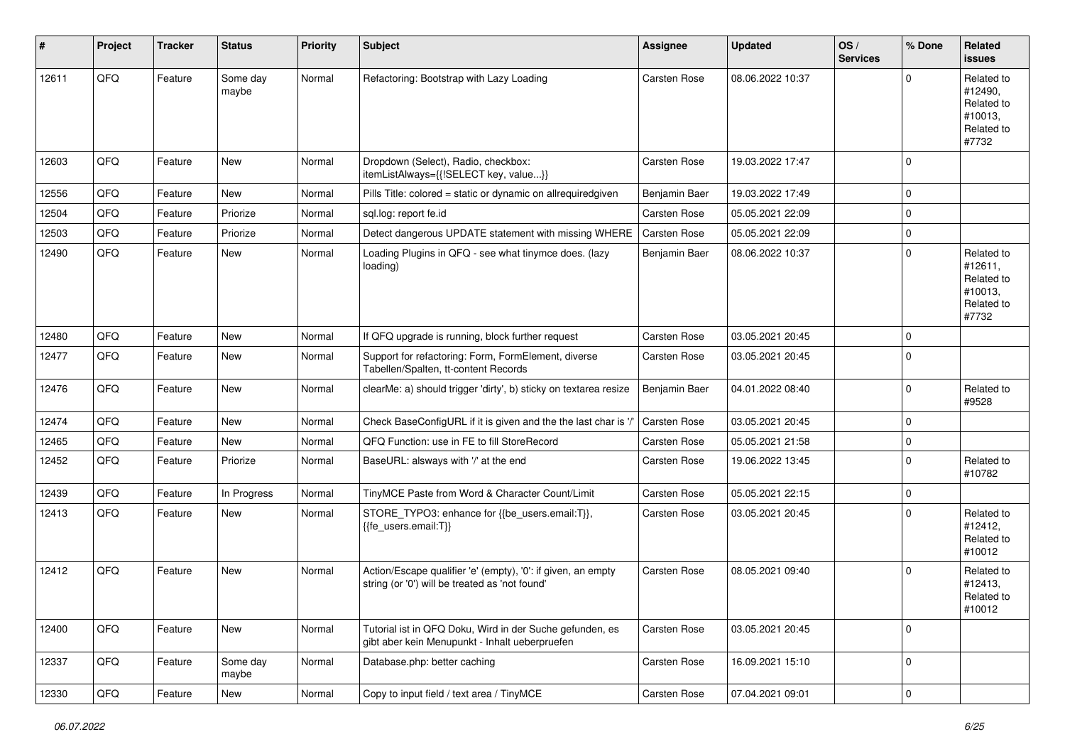| #     | Project | <b>Tracker</b> | <b>Status</b>     | <b>Priority</b> | Subject                                                                                                        | Assignee            | <b>Updated</b>   | OS/<br><b>Services</b> | % Done      | Related<br>issues                                                     |
|-------|---------|----------------|-------------------|-----------------|----------------------------------------------------------------------------------------------------------------|---------------------|------------------|------------------------|-------------|-----------------------------------------------------------------------|
| 12611 | QFQ     | Feature        | Some day<br>maybe | Normal          | Refactoring: Bootstrap with Lazy Loading                                                                       | <b>Carsten Rose</b> | 08.06.2022 10:37 |                        | $\Omega$    | Related to<br>#12490,<br>Related to<br>#10013,<br>Related to<br>#7732 |
| 12603 | QFQ     | Feature        | <b>New</b>        | Normal          | Dropdown (Select), Radio, checkbox:<br>itemListAlways={{!SELECT key, value}}                                   | <b>Carsten Rose</b> | 19.03.2022 17:47 |                        | $\Omega$    |                                                                       |
| 12556 | QFQ     | Feature        | <b>New</b>        | Normal          | Pills Title: colored = static or dynamic on allrequiredgiven                                                   | Benjamin Baer       | 19.03.2022 17:49 |                        | $\Omega$    |                                                                       |
| 12504 | QFQ     | Feature        | Priorize          | Normal          | sql.log: report fe.id                                                                                          | <b>Carsten Rose</b> | 05.05.2021 22:09 |                        | $\Omega$    |                                                                       |
| 12503 | QFQ     | Feature        | Priorize          | Normal          | Detect dangerous UPDATE statement with missing WHERE                                                           | Carsten Rose        | 05.05.2021 22:09 |                        | $\Omega$    |                                                                       |
| 12490 | QFQ     | Feature        | New               | Normal          | Loading Plugins in QFQ - see what tinymce does. (lazy<br>loading)                                              | Benjamin Baer       | 08.06.2022 10:37 |                        | $\Omega$    | Related to<br>#12611,<br>Related to<br>#10013,<br>Related to<br>#7732 |
| 12480 | QFQ     | Feature        | <b>New</b>        | Normal          | If QFQ upgrade is running, block further request                                                               | <b>Carsten Rose</b> | 03.05.2021 20:45 |                        | $\Omega$    |                                                                       |
| 12477 | QFQ     | Feature        | <b>New</b>        | Normal          | Support for refactoring: Form, FormElement, diverse<br>Tabellen/Spalten, tt-content Records                    | Carsten Rose        | 03.05.2021 20:45 |                        | $\Omega$    |                                                                       |
| 12476 | QFQ     | Feature        | <b>New</b>        | Normal          | clearMe: a) should trigger 'dirty', b) sticky on textarea resize                                               | Benjamin Baer       | 04.01.2022 08:40 |                        | $\Omega$    | Related to<br>#9528                                                   |
| 12474 | QFQ     | Feature        | <b>New</b>        | Normal          | Check BaseConfigURL if it is given and the the last char is '/                                                 | <b>Carsten Rose</b> | 03.05.2021 20:45 |                        | $\Omega$    |                                                                       |
| 12465 | QFQ     | Feature        | New               | Normal          | QFQ Function: use in FE to fill StoreRecord                                                                    | <b>Carsten Rose</b> | 05.05.2021 21:58 |                        | $\mathbf 0$ |                                                                       |
| 12452 | QFQ     | Feature        | Priorize          | Normal          | BaseURL: alsways with '/' at the end                                                                           | Carsten Rose        | 19.06.2022 13:45 |                        | $\Omega$    | Related to<br>#10782                                                  |
| 12439 | QFQ     | Feature        | In Progress       | Normal          | TinyMCE Paste from Word & Character Count/Limit                                                                | <b>Carsten Rose</b> | 05.05.2021 22:15 |                        | $\mathbf 0$ |                                                                       |
| 12413 | QFQ     | Feature        | New               | Normal          | STORE_TYPO3: enhance for {{be_users.email:T}},<br>{{fe_users.email:T}}                                         | Carsten Rose        | 03.05.2021 20:45 |                        | $\Omega$    | Related to<br>#12412,<br>Related to<br>#10012                         |
| 12412 | QFQ     | Feature        | <b>New</b>        | Normal          | Action/Escape qualifier 'e' (empty), '0': if given, an empty<br>string (or '0') will be treated as 'not found' | <b>Carsten Rose</b> | 08.05.2021 09:40 |                        | $\Omega$    | Related to<br>#12413,<br>Related to<br>#10012                         |
| 12400 | QFQ     | Feature        | New               | Normal          | Tutorial ist in QFQ Doku, Wird in der Suche gefunden, es<br>gibt aber kein Menupunkt - Inhalt ueberpruefen     | Carsten Rose        | 03.05.2021 20:45 |                        | $\mathbf 0$ |                                                                       |
| 12337 | QFQ     | Feature        | Some day<br>maybe | Normal          | Database.php: better caching                                                                                   | Carsten Rose        | 16.09.2021 15:10 |                        | $\mathbf 0$ |                                                                       |
| 12330 | QFQ     | Feature        | New               | Normal          | Copy to input field / text area / TinyMCE                                                                      | Carsten Rose        | 07.04.2021 09:01 |                        | $\pmb{0}$   |                                                                       |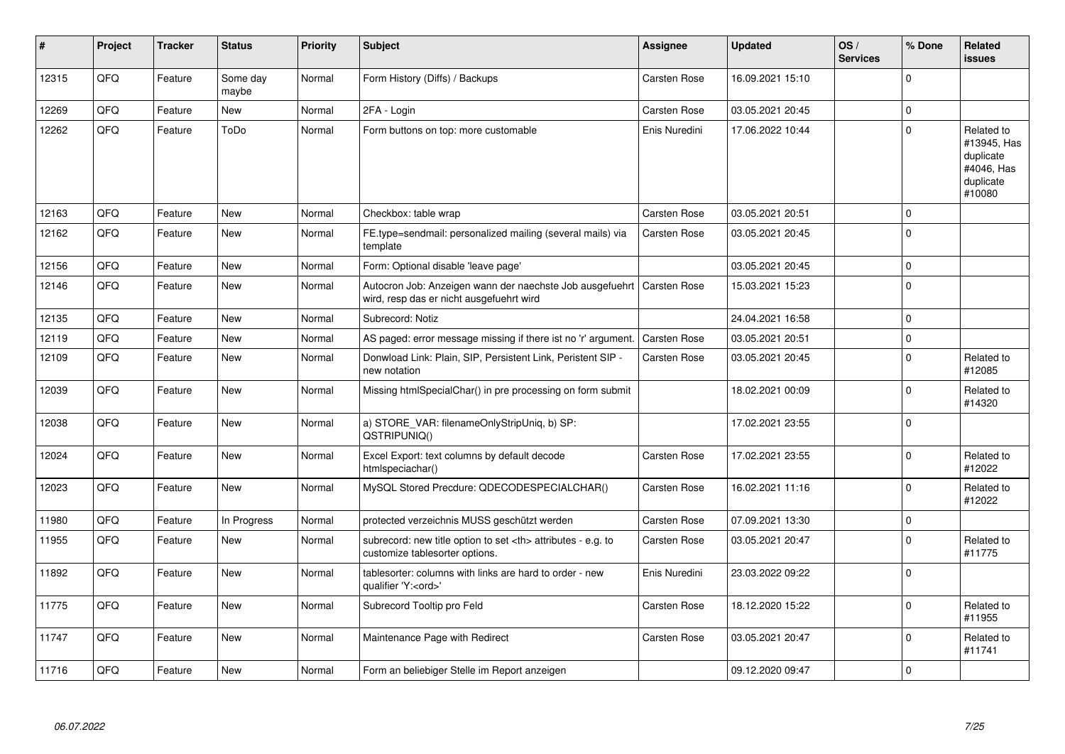| ∦     | Project | <b>Tracker</b> | <b>Status</b>     | <b>Priority</b> | <b>Subject</b>                                                                                       | <b>Assignee</b>                                        | <b>Updated</b>      | OS/<br><b>Services</b> | % Done      | Related<br><b>issues</b>                                                    |                      |
|-------|---------|----------------|-------------------|-----------------|------------------------------------------------------------------------------------------------------|--------------------------------------------------------|---------------------|------------------------|-------------|-----------------------------------------------------------------------------|----------------------|
| 12315 | QFQ     | Feature        | Some day<br>maybe | Normal          | Form History (Diffs) / Backups                                                                       | Carsten Rose                                           | 16.09.2021 15:10    |                        | $\Omega$    |                                                                             |                      |
| 12269 | QFQ     | Feature        | New               | Normal          | 2FA - Login                                                                                          | Carsten Rose                                           | 03.05.2021 20:45    |                        | $\mathbf 0$ |                                                                             |                      |
| 12262 | QFQ     | Feature        | ToDo              | Normal          | Form buttons on top: more customable                                                                 | Enis Nuredini                                          | 17.06.2022 10:44    |                        | $\mathbf 0$ | Related to<br>#13945, Has<br>duplicate<br>#4046, Has<br>duplicate<br>#10080 |                      |
| 12163 | QFQ     | Feature        | New               | Normal          | Checkbox: table wrap                                                                                 | Carsten Rose                                           | 03.05.2021 20:51    |                        | $\mathbf 0$ |                                                                             |                      |
| 12162 | QFQ     | Feature        | New               | Normal          | FE.type=sendmail: personalized mailing (several mails) via<br>template                               | <b>Carsten Rose</b>                                    | 03.05.2021 20:45    |                        | $\mathbf 0$ |                                                                             |                      |
| 12156 | QFQ     | Feature        | New               | Normal          | Form: Optional disable 'leave page'                                                                  |                                                        | 03.05.2021 20:45    |                        | $\mathbf 0$ |                                                                             |                      |
| 12146 | QFQ     | Feature        | New               | Normal          | Autocron Job: Anzeigen wann der naechste Job ausgefuehrt<br>wird, resp das er nicht ausgefuehrt wird | <b>Carsten Rose</b>                                    | 15.03.2021 15:23    |                        | $\mathbf 0$ |                                                                             |                      |
| 12135 | QFQ     | Feature        | New               | Normal          | Subrecord: Notiz                                                                                     |                                                        | 24.04.2021 16:58    |                        | $\mathbf 0$ |                                                                             |                      |
| 12119 | QFQ     | Feature        | <b>New</b>        | Normal          | AS paged: error message missing if there ist no 'r' argument.                                        | <b>Carsten Rose</b>                                    | 03.05.2021 20:51    |                        | $\mathbf 0$ |                                                                             |                      |
| 12109 | QFQ     | Feature        | New               | Normal          | Donwload Link: Plain, SIP, Persistent Link, Peristent SIP -<br>new notation                          | Carsten Rose                                           | 03.05.2021 20:45    |                        | $\mathbf 0$ | Related to<br>#12085                                                        |                      |
| 12039 | QFQ     | Feature        | <b>New</b>        | Normal          | Missing htmlSpecialChar() in pre processing on form submit                                           |                                                        | 18.02.2021 00:09    |                        | $\Omega$    | Related to<br>#14320                                                        |                      |
| 12038 | QFQ     | Feature        | New               | Normal          | a) STORE_VAR: filenameOnlyStripUniq, b) SP:<br>QSTRIPUNIQ()                                          |                                                        | 17.02.2021 23:55    |                        | $\Omega$    |                                                                             |                      |
| 12024 | QFQ     | Feature        | <b>New</b>        | Normal          | Excel Export: text columns by default decode<br>htmlspeciachar()                                     | Carsten Rose                                           | 17.02.2021 23:55    |                        | $\mathbf 0$ | Related to<br>#12022                                                        |                      |
| 12023 | QFQ     | Feature        | New               | Normal          | MySQL Stored Precdure: QDECODESPECIALCHAR()                                                          | <b>Carsten Rose</b>                                    | 16.02.2021 11:16    |                        | $\mathbf 0$ | Related to<br>#12022                                                        |                      |
| 11980 | QFQ     | Feature        | In Progress       | Normal          | protected verzeichnis MUSS geschützt werden                                                          | Carsten Rose                                           | 07.09.2021 13:30    |                        | $\mathbf 0$ |                                                                             |                      |
| 11955 | QFQ     | Feature        | New               | Normal          | subrecord: new title option to set <th> attributes - e.g. to<br/>customize tablesorter options.</th> | attributes - e.g. to<br>customize tablesorter options. | <b>Carsten Rose</b> | 03.05.2021 20:47       |             | $\mathbf 0$                                                                 | Related to<br>#11775 |
| 11892 | QFQ     | Feature        | <b>New</b>        | Normal          | tablesorter: columns with links are hard to order - new<br>qualifier 'Y: <ord>'</ord>                | Enis Nuredini                                          | 23.03.2022 09:22    |                        | $\mathbf 0$ |                                                                             |                      |
| 11775 | QFQ     | Feature        | <b>New</b>        | Normal          | Subrecord Tooltip pro Feld                                                                           | <b>Carsten Rose</b>                                    | 18.12.2020 15:22    |                        | $\Omega$    | Related to<br>#11955                                                        |                      |
| 11747 | QFQ     | Feature        | <b>New</b>        | Normal          | Maintenance Page with Redirect                                                                       | <b>Carsten Rose</b>                                    | 03.05.2021 20:47    |                        | $\Omega$    | Related to<br>#11741                                                        |                      |
| 11716 | QFQ     | Feature        | New               | Normal          | Form an beliebiger Stelle im Report anzeigen                                                         |                                                        | 09.12.2020 09:47    |                        | $\mathbf 0$ |                                                                             |                      |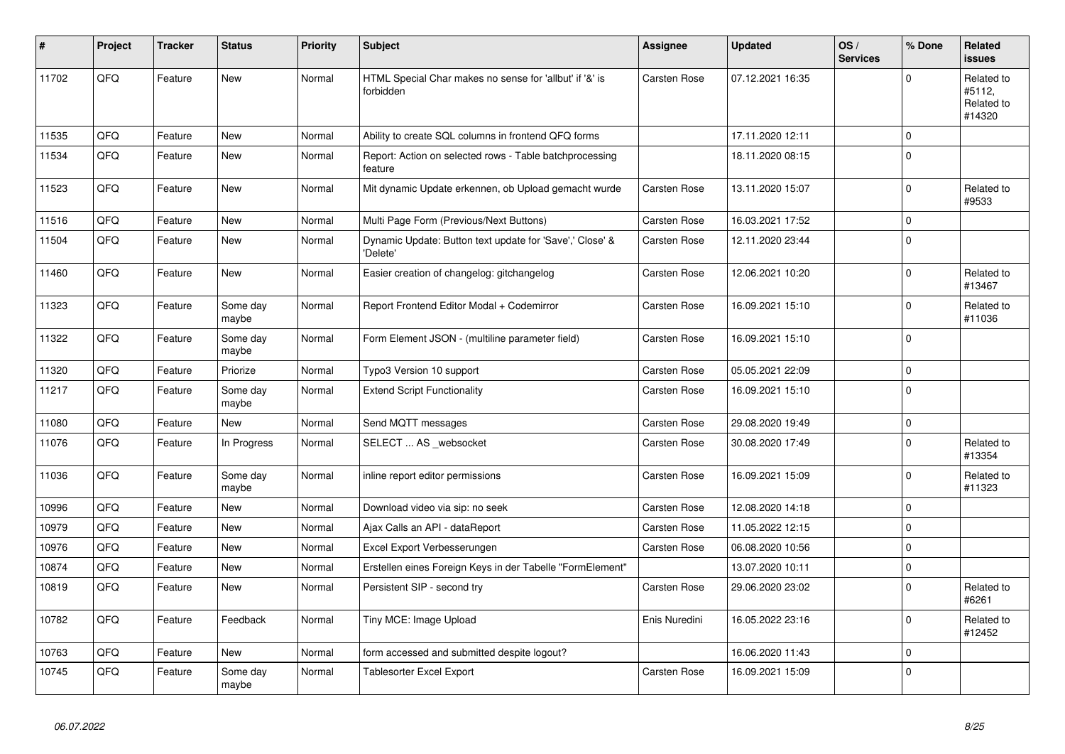| #     | Project | <b>Tracker</b> | <b>Status</b>     | <b>Priority</b> | <b>Subject</b>                                                       | <b>Assignee</b>     | <b>Updated</b>   | OS/<br><b>Services</b> | % Done      | Related<br>issues                            |
|-------|---------|----------------|-------------------|-----------------|----------------------------------------------------------------------|---------------------|------------------|------------------------|-------------|----------------------------------------------|
| 11702 | QFQ     | Feature        | <b>New</b>        | Normal          | HTML Special Char makes no sense for 'allbut' if '&' is<br>forbidden | <b>Carsten Rose</b> | 07.12.2021 16:35 |                        | $\Omega$    | Related to<br>#5112,<br>Related to<br>#14320 |
| 11535 | QFQ     | Feature        | <b>New</b>        | Normal          | Ability to create SQL columns in frontend QFQ forms                  |                     | 17.11.2020 12:11 |                        | 0           |                                              |
| 11534 | QFQ     | Feature        | <b>New</b>        | Normal          | Report: Action on selected rows - Table batchprocessing<br>feature   |                     | 18.11.2020 08:15 |                        | $\Omega$    |                                              |
| 11523 | QFQ     | Feature        | New               | Normal          | Mit dynamic Update erkennen, ob Upload gemacht wurde                 | Carsten Rose        | 13.11.2020 15:07 |                        | $\Omega$    | Related to<br>#9533                          |
| 11516 | QFQ     | Feature        | New               | Normal          | Multi Page Form (Previous/Next Buttons)                              | Carsten Rose        | 16.03.2021 17:52 |                        | $\mathbf 0$ |                                              |
| 11504 | QFQ     | Feature        | New               | Normal          | Dynamic Update: Button text update for 'Save',' Close' &<br>'Delete' | Carsten Rose        | 12.11.2020 23:44 |                        | $\Omega$    |                                              |
| 11460 | QFQ     | Feature        | New               | Normal          | Easier creation of changelog: gitchangelog                           | Carsten Rose        | 12.06.2021 10:20 |                        | $\Omega$    | Related to<br>#13467                         |
| 11323 | QFQ     | Feature        | Some day<br>maybe | Normal          | Report Frontend Editor Modal + Codemirror                            | Carsten Rose        | 16.09.2021 15:10 |                        | $\Omega$    | Related to<br>#11036                         |
| 11322 | QFQ     | Feature        | Some day<br>maybe | Normal          | Form Element JSON - (multiline parameter field)                      | <b>Carsten Rose</b> | 16.09.2021 15:10 |                        | $\Omega$    |                                              |
| 11320 | QFQ     | Feature        | Priorize          | Normal          | Typo3 Version 10 support                                             | Carsten Rose        | 05.05.2021 22:09 |                        | 0           |                                              |
| 11217 | QFQ     | Feature        | Some day<br>maybe | Normal          | <b>Extend Script Functionality</b>                                   | Carsten Rose        | 16.09.2021 15:10 |                        | $\Omega$    |                                              |
| 11080 | QFQ     | Feature        | New               | Normal          | Send MQTT messages                                                   | <b>Carsten Rose</b> | 29.08.2020 19:49 |                        | $\mathbf 0$ |                                              |
| 11076 | QFQ     | Feature        | In Progress       | Normal          | SELECT  AS _websocket                                                | Carsten Rose        | 30.08.2020 17:49 |                        | $\Omega$    | Related to<br>#13354                         |
| 11036 | QFQ     | Feature        | Some day<br>maybe | Normal          | inline report editor permissions                                     | <b>Carsten Rose</b> | 16.09.2021 15:09 |                        | $\Omega$    | Related to<br>#11323                         |
| 10996 | QFQ     | Feature        | <b>New</b>        | Normal          | Download video via sip: no seek                                      | Carsten Rose        | 12.08.2020 14:18 |                        | $\mathbf 0$ |                                              |
| 10979 | QFQ     | Feature        | <b>New</b>        | Normal          | Ajax Calls an API - dataReport                                       | Carsten Rose        | 11.05.2022 12:15 |                        | $\Omega$    |                                              |
| 10976 | QFQ     | Feature        | <b>New</b>        | Normal          | Excel Export Verbesserungen                                          | Carsten Rose        | 06.08.2020 10:56 |                        | 0           |                                              |
| 10874 | QFQ     | Feature        | <b>New</b>        | Normal          | Erstellen eines Foreign Keys in der Tabelle "FormElement"            |                     | 13.07.2020 10:11 |                        | 0           |                                              |
| 10819 | QFQ     | Feature        | <b>New</b>        | Normal          | Persistent SIP - second try                                          | <b>Carsten Rose</b> | 29.06.2020 23:02 |                        | $\Omega$    | Related to<br>#6261                          |
| 10782 | QFQ     | Feature        | Feedback          | Normal          | Tiny MCE: Image Upload                                               | Enis Nuredini       | 16.05.2022 23:16 |                        | $\Omega$    | Related to<br>#12452                         |
| 10763 | QFQ     | Feature        | New               | Normal          | form accessed and submitted despite logout?                          |                     | 16.06.2020 11:43 |                        | $\Omega$    |                                              |
| 10745 | QFQ     | Feature        | Some day<br>maybe | Normal          | <b>Tablesorter Excel Export</b>                                      | <b>Carsten Rose</b> | 16.09.2021 15:09 |                        | $\Omega$    |                                              |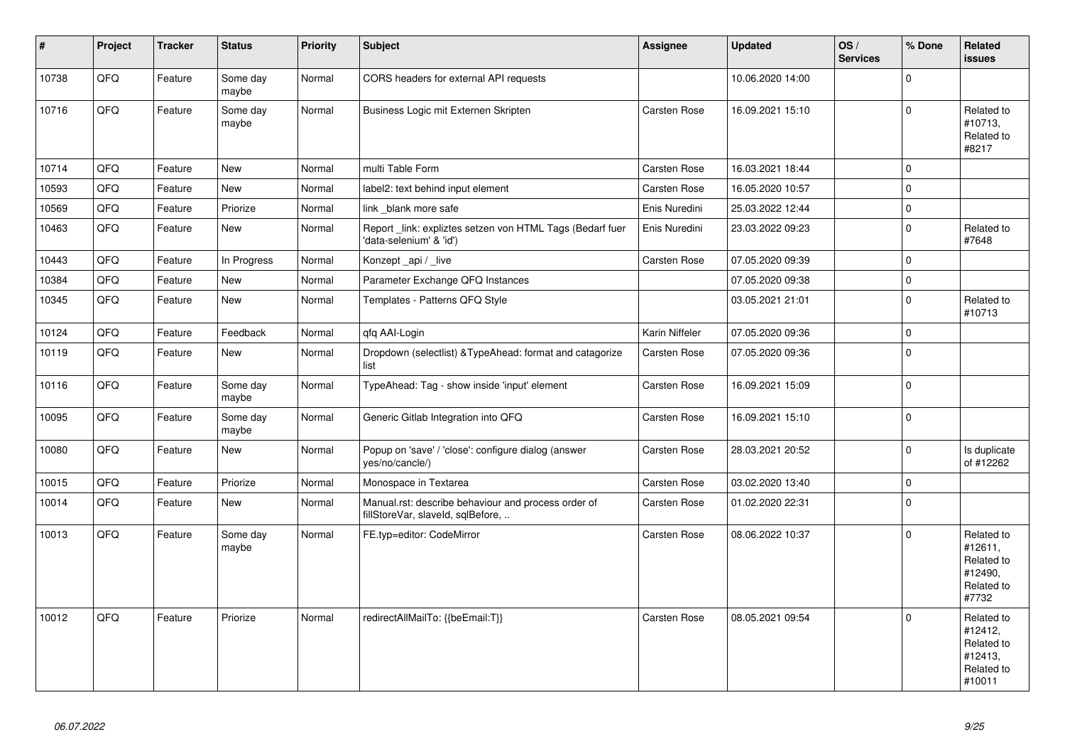| $\vert$ # | Project | <b>Tracker</b> | <b>Status</b>     | <b>Priority</b> | <b>Subject</b>                                                                           | <b>Assignee</b>     | <b>Updated</b>   | OS/<br><b>Services</b> | % Done      | Related<br><b>issues</b>                                               |
|-----------|---------|----------------|-------------------|-----------------|------------------------------------------------------------------------------------------|---------------------|------------------|------------------------|-------------|------------------------------------------------------------------------|
| 10738     | QFQ     | Feature        | Some day<br>maybe | Normal          | CORS headers for external API requests                                                   |                     | 10.06.2020 14:00 |                        | $\mathbf 0$ |                                                                        |
| 10716     | QFQ     | Feature        | Some day<br>maybe | Normal          | Business Logic mit Externen Skripten                                                     | <b>Carsten Rose</b> | 16.09.2021 15:10 |                        | $\mathbf 0$ | Related to<br>#10713,<br>Related to<br>#8217                           |
| 10714     | QFQ     | Feature        | New               | Normal          | multi Table Form                                                                         | <b>Carsten Rose</b> | 16.03.2021 18:44 |                        | $\Omega$    |                                                                        |
| 10593     | QFQ     | Feature        | New               | Normal          | label2: text behind input element                                                        | <b>Carsten Rose</b> | 16.05.2020 10:57 |                        | $\mathbf 0$ |                                                                        |
| 10569     | QFQ     | Feature        | Priorize          | Normal          | link _blank more safe                                                                    | Enis Nuredini       | 25.03.2022 12:44 |                        | $\mathbf 0$ |                                                                        |
| 10463     | QFQ     | Feature        | <b>New</b>        | Normal          | Report link: expliztes setzen von HTML Tags (Bedarf fuer<br>'data-selenium' & 'id')      | Enis Nuredini       | 23.03.2022 09:23 |                        | $\mathbf 0$ | Related to<br>#7648                                                    |
| 10443     | QFQ     | Feature        | In Progress       | Normal          | Konzept api / live                                                                       | Carsten Rose        | 07.05.2020 09:39 |                        | $\mathbf 0$ |                                                                        |
| 10384     | QFQ     | Feature        | <b>New</b>        | Normal          | Parameter Exchange QFQ Instances                                                         |                     | 07.05.2020 09:38 |                        | $\mathbf 0$ |                                                                        |
| 10345     | QFQ     | Feature        | New               | Normal          | Templates - Patterns QFQ Style                                                           |                     | 03.05.2021 21:01 |                        | $\mathbf 0$ | Related to<br>#10713                                                   |
| 10124     | QFQ     | Feature        | Feedback          | Normal          | qfq AAI-Login                                                                            | Karin Niffeler      | 07.05.2020 09:36 |                        | $\mathbf 0$ |                                                                        |
| 10119     | QFQ     | Feature        | <b>New</b>        | Normal          | Dropdown (selectlist) & Type Ahead: format and catagorize<br>list                        | Carsten Rose        | 07.05.2020 09:36 |                        | $\mathbf 0$ |                                                                        |
| 10116     | QFQ     | Feature        | Some day<br>maybe | Normal          | TypeAhead: Tag - show inside 'input' element                                             | Carsten Rose        | 16.09.2021 15:09 |                        | $\mathbf 0$ |                                                                        |
| 10095     | QFQ     | Feature        | Some day<br>maybe | Normal          | Generic Gitlab Integration into QFQ                                                      | <b>Carsten Rose</b> | 16.09.2021 15:10 |                        | $\mathbf 0$ |                                                                        |
| 10080     | QFQ     | Feature        | New               | Normal          | Popup on 'save' / 'close': configure dialog (answer<br>yes/no/cancle/)                   | <b>Carsten Rose</b> | 28.03.2021 20:52 |                        | $\pmb{0}$   | Is duplicate<br>of #12262                                              |
| 10015     | QFQ     | Feature        | Priorize          | Normal          | Monospace in Textarea                                                                    | Carsten Rose        | 03.02.2020 13:40 |                        | $\pmb{0}$   |                                                                        |
| 10014     | QFQ     | Feature        | New               | Normal          | Manual.rst: describe behaviour and process order of<br>fillStoreVar, slaveId, sqlBefore, | <b>Carsten Rose</b> | 01.02.2020 22:31 |                        | $\mathbf 0$ |                                                                        |
| 10013     | QFQ     | Feature        | Some day<br>maybe | Normal          | FE.typ=editor: CodeMirror                                                                | <b>Carsten Rose</b> | 08.06.2022 10:37 |                        | $\mathbf 0$ | Related to<br>#12611,<br>Related to<br>#12490,<br>Related to<br>#7732  |
| 10012     | QFQ     | Feature        | Priorize          | Normal          | redirectAllMailTo: {{beEmail:T}}                                                         | <b>Carsten Rose</b> | 08.05.2021 09:54 |                        | $\Omega$    | Related to<br>#12412,<br>Related to<br>#12413,<br>Related to<br>#10011 |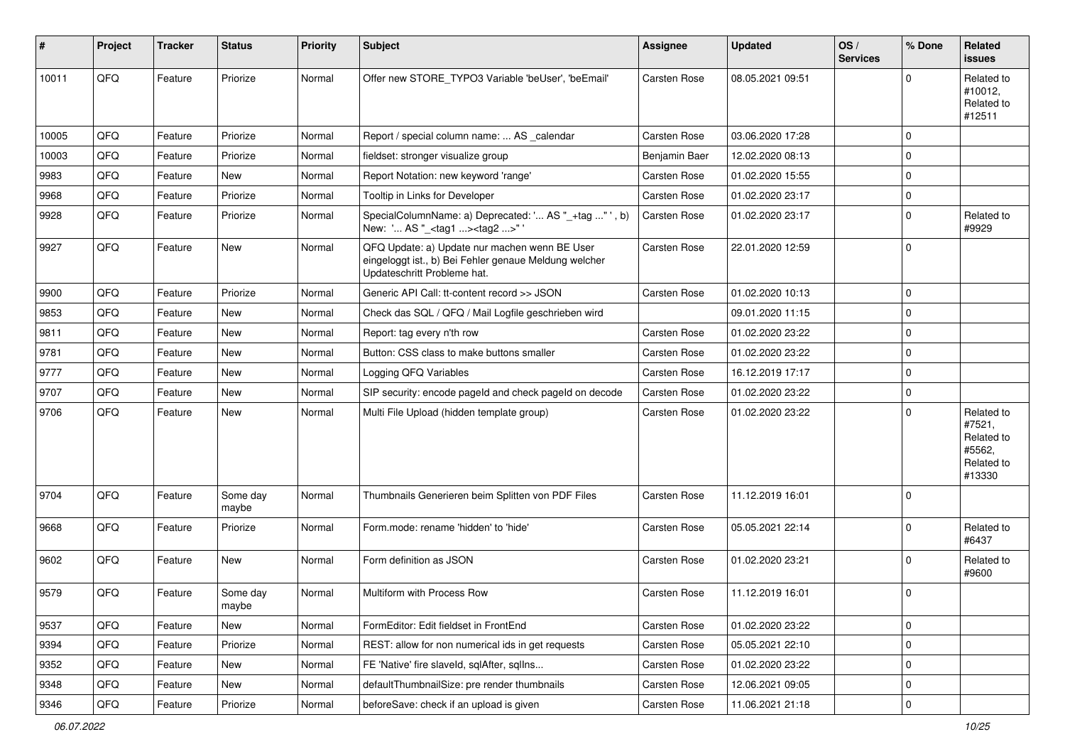| #     | Project | <b>Tracker</b> | <b>Status</b>     | <b>Priority</b> | Subject                                                                                                                               | Assignee            | <b>Updated</b>   | OS/<br><b>Services</b> | % Done      | Related<br><b>issues</b>                                             |
|-------|---------|----------------|-------------------|-----------------|---------------------------------------------------------------------------------------------------------------------------------------|---------------------|------------------|------------------------|-------------|----------------------------------------------------------------------|
| 10011 | QFQ     | Feature        | Priorize          | Normal          | Offer new STORE TYPO3 Variable 'beUser', 'beEmail'                                                                                    | Carsten Rose        | 08.05.2021 09:51 |                        | $\Omega$    | Related to<br>#10012,<br>Related to<br>#12511                        |
| 10005 | QFQ     | Feature        | Priorize          | Normal          | Report / special column name:  AS _calendar                                                                                           | Carsten Rose        | 03.06.2020 17:28 |                        | $\Omega$    |                                                                      |
| 10003 | QFQ     | Feature        | Priorize          | Normal          | fieldset: stronger visualize group                                                                                                    | Benjamin Baer       | 12.02.2020 08:13 |                        | $\Omega$    |                                                                      |
| 9983  | QFQ     | Feature        | New               | Normal          | Report Notation: new keyword 'range'                                                                                                  | <b>Carsten Rose</b> | 01.02.2020 15:55 |                        | $\mathbf 0$ |                                                                      |
| 9968  | QFQ     | Feature        | Priorize          | Normal          | Tooltip in Links for Developer                                                                                                        | Carsten Rose        | 01.02.2020 23:17 |                        | $\mathbf 0$ |                                                                      |
| 9928  | QFQ     | Feature        | Priorize          | Normal          | SpecialColumnName: a) Deprecated: ' AS "_+tag " ', b)<br>New: ' AS "_ <tag1><tag2>"'</tag2></tag1>                                    | <b>Carsten Rose</b> | 01.02.2020 23:17 |                        | $\mathbf 0$ | Related to<br>#9929                                                  |
| 9927  | QFQ     | Feature        | New               | Normal          | QFQ Update: a) Update nur machen wenn BE User<br>eingeloggt ist., b) Bei Fehler genaue Meldung welcher<br>Updateschritt Probleme hat. | <b>Carsten Rose</b> | 22.01.2020 12:59 |                        | $\Omega$    |                                                                      |
| 9900  | QFQ     | Feature        | Priorize          | Normal          | Generic API Call: tt-content record >> JSON                                                                                           | <b>Carsten Rose</b> | 01.02.2020 10:13 |                        | $\mathbf 0$ |                                                                      |
| 9853  | QFQ     | Feature        | New               | Normal          | Check das SQL / QFQ / Mail Logfile geschrieben wird                                                                                   |                     | 09.01.2020 11:15 |                        | $\Omega$    |                                                                      |
| 9811  | QFQ     | Feature        | <b>New</b>        | Normal          | Report: tag every n'th row                                                                                                            | <b>Carsten Rose</b> | 01.02.2020 23:22 |                        | $\mathbf 0$ |                                                                      |
| 9781  | QFQ     | Feature        | New               | Normal          | Button: CSS class to make buttons smaller                                                                                             | <b>Carsten Rose</b> | 01.02.2020 23:22 |                        | $\mathbf 0$ |                                                                      |
| 9777  | QFQ     | Feature        | New               | Normal          | Logging QFQ Variables                                                                                                                 | <b>Carsten Rose</b> | 16.12.2019 17:17 |                        | $\mathbf 0$ |                                                                      |
| 9707  | QFQ     | Feature        | New               | Normal          | SIP security: encode pageld and check pageld on decode                                                                                | <b>Carsten Rose</b> | 01.02.2020 23:22 |                        | $\Omega$    |                                                                      |
| 9706  | QFQ     | Feature        | New               | Normal          | Multi File Upload (hidden template group)                                                                                             | <b>Carsten Rose</b> | 01.02.2020 23:22 |                        | $\Omega$    | Related to<br>#7521,<br>Related to<br>#5562,<br>Related to<br>#13330 |
| 9704  | QFQ     | Feature        | Some day<br>maybe | Normal          | Thumbnails Generieren beim Splitten von PDF Files                                                                                     | <b>Carsten Rose</b> | 11.12.2019 16:01 |                        | $\Omega$    |                                                                      |
| 9668  | QFQ     | Feature        | Priorize          | Normal          | Form.mode: rename 'hidden' to 'hide'                                                                                                  | <b>Carsten Rose</b> | 05.05.2021 22:14 |                        | $\Omega$    | Related to<br>#6437                                                  |
| 9602  | QFQ     | Feature        | New               | Normal          | Form definition as JSON                                                                                                               | Carsten Rose        | 01.02.2020 23:21 |                        | $\Omega$    | Related to<br>#9600                                                  |
| 9579  | QFQ     | Feature        | Some day<br>maybe | Normal          | Multiform with Process Row                                                                                                            | <b>Carsten Rose</b> | 11.12.2019 16:01 |                        | $\mathbf 0$ |                                                                      |
| 9537  | QFQ     | Feature        | New               | Normal          | FormEditor: Edit fieldset in FrontEnd                                                                                                 | <b>Carsten Rose</b> | 01.02.2020 23:22 |                        | $\mathbf 0$ |                                                                      |
| 9394  | QFQ     | Feature        | Priorize          | Normal          | REST: allow for non numerical ids in get requests                                                                                     | Carsten Rose        | 05.05.2021 22:10 |                        | $\pmb{0}$   |                                                                      |
| 9352  | QFQ     | Feature        | New               | Normal          | FE 'Native' fire slaveld, sqlAfter, sqlIns                                                                                            | Carsten Rose        | 01.02.2020 23:22 |                        | $\pmb{0}$   |                                                                      |
| 9348  | QFQ     | Feature        | New               | Normal          | defaultThumbnailSize: pre render thumbnails                                                                                           | Carsten Rose        | 12.06.2021 09:05 |                        | 0           |                                                                      |
| 9346  | QFQ     | Feature        | Priorize          | Normal          | beforeSave: check if an upload is given                                                                                               | Carsten Rose        | 11.06.2021 21:18 |                        | $\pmb{0}$   |                                                                      |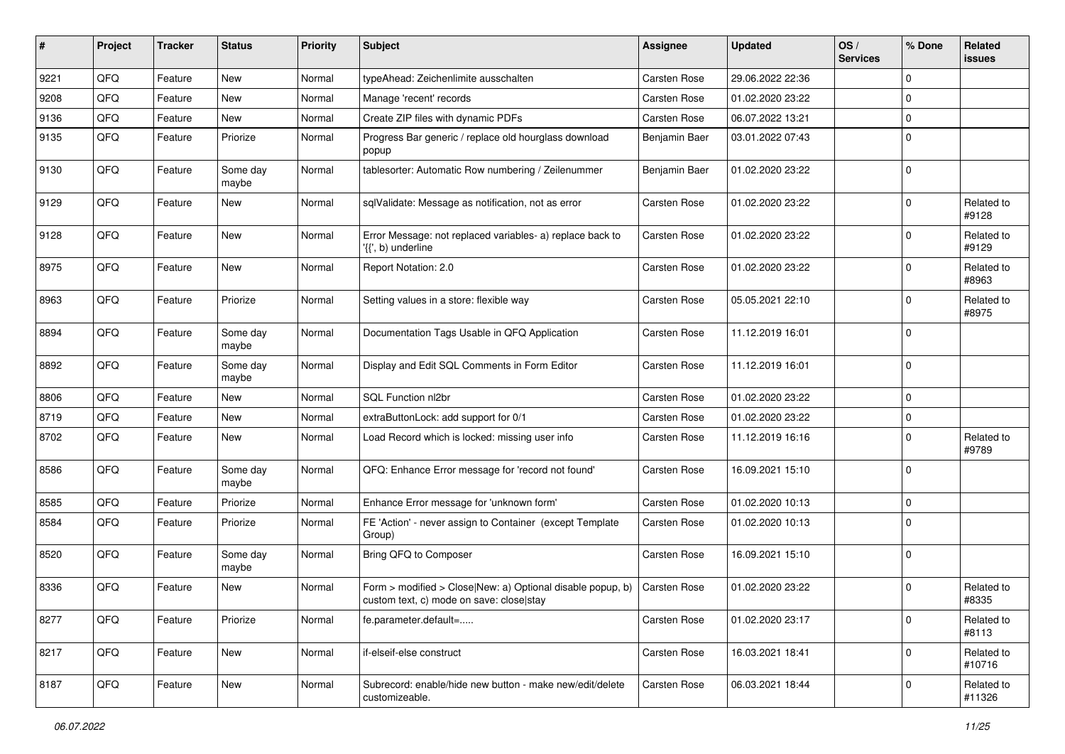| #    | Project | <b>Tracker</b> | <b>Status</b>     | <b>Priority</b> | <b>Subject</b>                                                                                         | Assignee            | <b>Updated</b>   | OS/<br><b>Services</b> | % Done      | Related<br>issues    |
|------|---------|----------------|-------------------|-----------------|--------------------------------------------------------------------------------------------------------|---------------------|------------------|------------------------|-------------|----------------------|
| 9221 | QFQ     | Feature        | <b>New</b>        | Normal          | typeAhead: Zeichenlimite ausschalten                                                                   | <b>Carsten Rose</b> | 29.06.2022 22:36 |                        | $\mathbf 0$ |                      |
| 9208 | QFQ     | Feature        | <b>New</b>        | Normal          | Manage 'recent' records                                                                                | Carsten Rose        | 01.02.2020 23:22 |                        | $\Omega$    |                      |
| 9136 | QFQ     | Feature        | New               | Normal          | Create ZIP files with dynamic PDFs                                                                     | <b>Carsten Rose</b> | 06.07.2022 13:21 |                        | $\Omega$    |                      |
| 9135 | QFQ     | Feature        | Priorize          | Normal          | Progress Bar generic / replace old hourglass download<br>popup                                         | Benjamin Baer       | 03.01.2022 07:43 |                        | $\Omega$    |                      |
| 9130 | QFQ     | Feature        | Some day<br>maybe | Normal          | tablesorter: Automatic Row numbering / Zeilenummer                                                     | Benjamin Baer       | 01.02.2020 23:22 |                        | $\Omega$    |                      |
| 9129 | QFQ     | Feature        | New               | Normal          | sqlValidate: Message as notification, not as error                                                     | <b>Carsten Rose</b> | 01.02.2020 23:22 |                        | $\Omega$    | Related to<br>#9128  |
| 9128 | QFQ     | Feature        | New               | Normal          | Error Message: not replaced variables- a) replace back to<br>$\langle \{ \}$ , b) underline            | <b>Carsten Rose</b> | 01.02.2020 23:22 |                        | $\mathbf 0$ | Related to<br>#9129  |
| 8975 | QFQ     | Feature        | New               | Normal          | Report Notation: 2.0                                                                                   | <b>Carsten Rose</b> | 01.02.2020 23:22 |                        | $\Omega$    | Related to<br>#8963  |
| 8963 | QFQ     | Feature        | Priorize          | Normal          | Setting values in a store: flexible way                                                                | <b>Carsten Rose</b> | 05.05.2021 22:10 |                        | $\mathbf 0$ | Related to<br>#8975  |
| 8894 | QFQ     | Feature        | Some day<br>maybe | Normal          | Documentation Tags Usable in QFQ Application                                                           | Carsten Rose        | 11.12.2019 16:01 |                        | $\Omega$    |                      |
| 8892 | QFQ     | Feature        | Some day<br>maybe | Normal          | Display and Edit SQL Comments in Form Editor                                                           | <b>Carsten Rose</b> | 11.12.2019 16:01 |                        | $\Omega$    |                      |
| 8806 | QFQ     | Feature        | <b>New</b>        | Normal          | SQL Function nl2br                                                                                     | <b>Carsten Rose</b> | 01.02.2020 23:22 |                        | $\mathbf 0$ |                      |
| 8719 | QFQ     | Feature        | New               | Normal          | extraButtonLock: add support for 0/1                                                                   | <b>Carsten Rose</b> | 01.02.2020 23:22 |                        | $\mathbf 0$ |                      |
| 8702 | QFQ     | Feature        | New               | Normal          | Load Record which is locked: missing user info                                                         | <b>Carsten Rose</b> | 11.12.2019 16:16 |                        | $\Omega$    | Related to<br>#9789  |
| 8586 | QFQ     | Feature        | Some day<br>maybe | Normal          | QFQ: Enhance Error message for 'record not found'                                                      | <b>Carsten Rose</b> | 16.09.2021 15:10 |                        | $\Omega$    |                      |
| 8585 | QFQ     | Feature        | Priorize          | Normal          | Enhance Error message for 'unknown form'                                                               | <b>Carsten Rose</b> | 01.02.2020 10:13 |                        | $\mathbf 0$ |                      |
| 8584 | QFQ     | Feature        | Priorize          | Normal          | FE 'Action' - never assign to Container (except Template<br>Group)                                     | <b>Carsten Rose</b> | 01.02.2020 10:13 |                        | $\Omega$    |                      |
| 8520 | QFQ     | Feature        | Some day<br>maybe | Normal          | Bring QFQ to Composer                                                                                  | <b>Carsten Rose</b> | 16.09.2021 15:10 |                        | $\mathbf 0$ |                      |
| 8336 | QFQ     | Feature        | New               | Normal          | Form > modified > Close New: a) Optional disable popup, b)<br>custom text, c) mode on save: close stay | <b>Carsten Rose</b> | 01.02.2020 23:22 |                        | $\Omega$    | Related to<br>#8335  |
| 8277 | QFQ     | Feature        | Priorize          | Normal          | fe.parameter.default=                                                                                  | <b>Carsten Rose</b> | 01.02.2020 23:17 |                        | 0           | Related to<br>#8113  |
| 8217 | QFQ     | Feature        | New               | Normal          | if-elseif-else construct                                                                               | <b>Carsten Rose</b> | 16.03.2021 18:41 |                        | 0           | Related to<br>#10716 |
| 8187 | QFQ     | Feature        | New               | Normal          | Subrecord: enable/hide new button - make new/edit/delete<br>customizeable.                             | <b>Carsten Rose</b> | 06.03.2021 18:44 |                        | 0           | Related to<br>#11326 |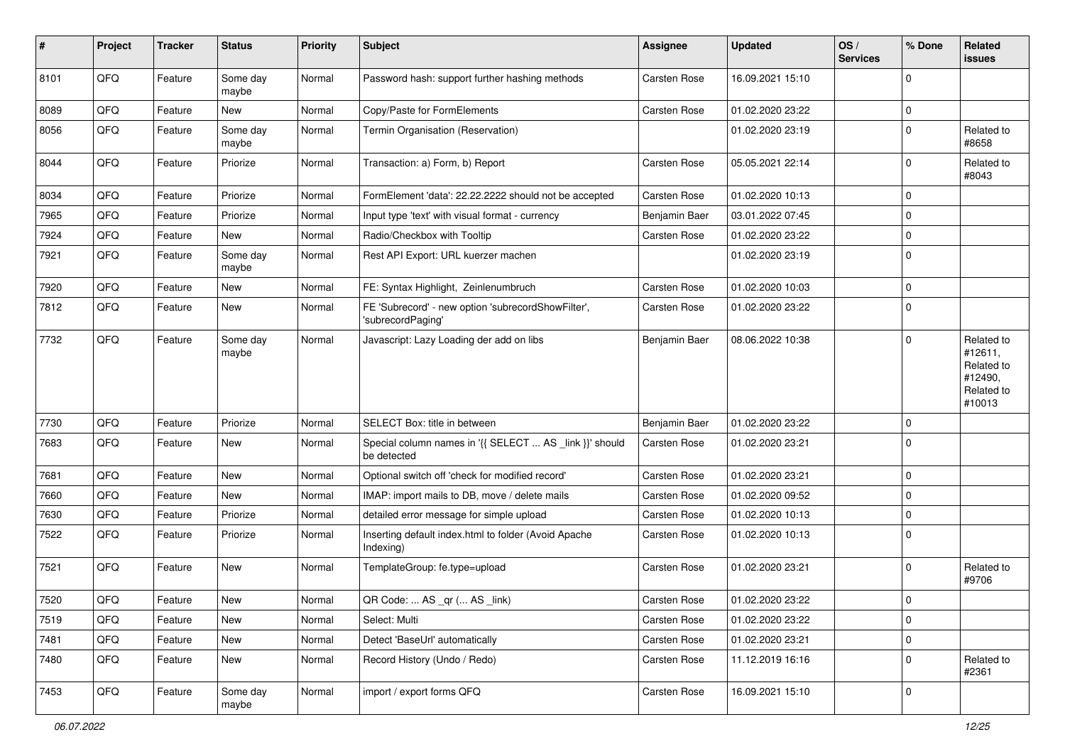| #    | Project | <b>Tracker</b> | <b>Status</b>     | <b>Priority</b> | <b>Subject</b>                                                          | Assignee            | <b>Updated</b>   | OS/<br><b>Services</b> | % Done      | Related<br>issues                                                      |
|------|---------|----------------|-------------------|-----------------|-------------------------------------------------------------------------|---------------------|------------------|------------------------|-------------|------------------------------------------------------------------------|
| 8101 | QFQ     | Feature        | Some day<br>maybe | Normal          | Password hash: support further hashing methods                          | <b>Carsten Rose</b> | 16.09.2021 15:10 |                        | $\mathbf 0$ |                                                                        |
| 8089 | QFQ     | Feature        | New               | Normal          | Copy/Paste for FormElements                                             | <b>Carsten Rose</b> | 01.02.2020 23:22 |                        | $\mathbf 0$ |                                                                        |
| 8056 | QFQ     | Feature        | Some day<br>maybe | Normal          | Termin Organisation (Reservation)                                       |                     | 01.02.2020 23:19 |                        | 0           | Related to<br>#8658                                                    |
| 8044 | QFQ     | Feature        | Priorize          | Normal          | Transaction: a) Form, b) Report                                         | <b>Carsten Rose</b> | 05.05.2021 22:14 |                        | $\mathbf 0$ | Related to<br>#8043                                                    |
| 8034 | QFQ     | Feature        | Priorize          | Normal          | FormElement 'data': 22.22.2222 should not be accepted                   | <b>Carsten Rose</b> | 01.02.2020 10:13 |                        | 0           |                                                                        |
| 7965 | QFQ     | Feature        | Priorize          | Normal          | Input type 'text' with visual format - currency                         | Benjamin Baer       | 03.01.2022 07:45 |                        | $\mathbf 0$ |                                                                        |
| 7924 | QFQ     | Feature        | <b>New</b>        | Normal          | Radio/Checkbox with Tooltip                                             | <b>Carsten Rose</b> | 01.02.2020 23:22 |                        | $\mathbf 0$ |                                                                        |
| 7921 | QFQ     | Feature        | Some day<br>maybe | Normal          | Rest API Export: URL kuerzer machen                                     |                     | 01.02.2020 23:19 |                        | $\Omega$    |                                                                        |
| 7920 | QFQ     | Feature        | New               | Normal          | FE: Syntax Highlight, Zeinlenumbruch                                    | Carsten Rose        | 01.02.2020 10:03 |                        | 0           |                                                                        |
| 7812 | QFQ     | Feature        | New               | Normal          | FE 'Subrecord' - new option 'subrecordShowFilter',<br>'subrecordPaging' | <b>Carsten Rose</b> | 01.02.2020 23:22 |                        | $\Omega$    |                                                                        |
| 7732 | QFQ     | Feature        | Some day<br>maybe | Normal          | Javascript: Lazy Loading der add on libs                                | Benjamin Baer       | 08.06.2022 10:38 |                        | $\mathbf 0$ | Related to<br>#12611,<br>Related to<br>#12490,<br>Related to<br>#10013 |
| 7730 | QFQ     | Feature        | Priorize          | Normal          | SELECT Box: title in between                                            | Benjamin Baer       | 01.02.2020 23:22 |                        | $\Omega$    |                                                                        |
| 7683 | QFQ     | Feature        | New               | Normal          | Special column names in '{{ SELECT  AS _link }}' should<br>be detected  | <b>Carsten Rose</b> | 01.02.2020 23:21 |                        | $\Omega$    |                                                                        |
| 7681 | QFQ     | Feature        | New               | Normal          | Optional switch off 'check for modified record'                         | <b>Carsten Rose</b> | 01.02.2020 23:21 |                        | $\mathbf 0$ |                                                                        |
| 7660 | QFQ     | Feature        | New               | Normal          | IMAP: import mails to DB, move / delete mails                           | <b>Carsten Rose</b> | 01.02.2020 09:52 |                        | 0           |                                                                        |
| 7630 | QFQ     | Feature        | Priorize          | Normal          | detailed error message for simple upload                                | Carsten Rose        | 01.02.2020 10:13 |                        | 0           |                                                                        |
| 7522 | QFQ     | Feature        | Priorize          | Normal          | Inserting default index.html to folder (Avoid Apache<br>Indexing)       | <b>Carsten Rose</b> | 01.02.2020 10:13 |                        | $\Omega$    |                                                                        |
| 7521 | QFQ     | Feature        | New               | Normal          | TemplateGroup: fe.type=upload                                           | <b>Carsten Rose</b> | 01.02.2020 23:21 |                        | 0           | Related to<br>#9706                                                    |
| 7520 | QFQ     | Feature        | New               | Normal          | QR Code:  AS _qr ( AS _link)                                            | <b>Carsten Rose</b> | 01.02.2020 23:22 |                        | $\mathbf 0$ |                                                                        |
| 7519 | QFQ     | Feature        | New               | Normal          | Select: Multi                                                           | Carsten Rose        | 01.02.2020 23:22 |                        | 0           |                                                                        |
| 7481 | QFQ     | Feature        | New               | Normal          | Detect 'BaseUrl' automatically                                          | Carsten Rose        | 01.02.2020 23:21 |                        | $\pmb{0}$   |                                                                        |
| 7480 | QFQ     | Feature        | New               | Normal          | Record History (Undo / Redo)                                            | Carsten Rose        | 11.12.2019 16:16 |                        | 0           | Related to<br>#2361                                                    |
| 7453 | QFQ     | Feature        | Some day<br>maybe | Normal          | import / export forms QFQ                                               | Carsten Rose        | 16.09.2021 15:10 |                        | 0           |                                                                        |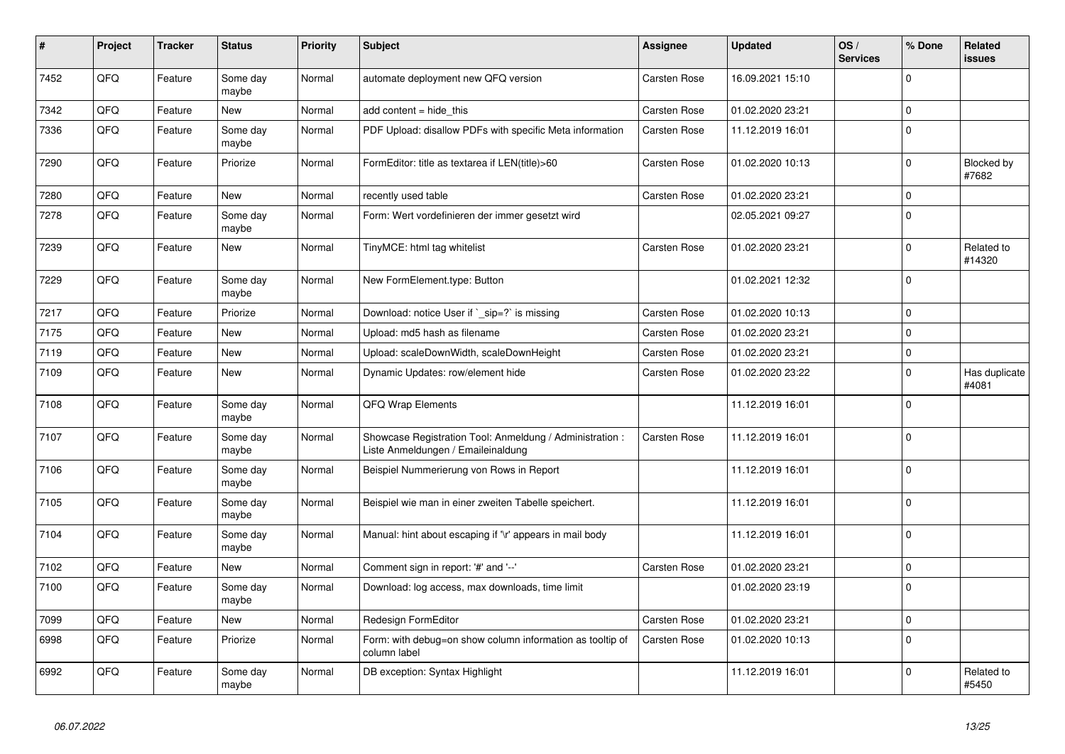| #    | Project | <b>Tracker</b> | <b>Status</b>     | <b>Priority</b> | <b>Subject</b>                                                                                 | Assignee            | <b>Updated</b>   | OS/<br><b>Services</b> | % Done      | Related<br>issues      |
|------|---------|----------------|-------------------|-----------------|------------------------------------------------------------------------------------------------|---------------------|------------------|------------------------|-------------|------------------------|
| 7452 | QFQ     | Feature        | Some day<br>maybe | Normal          | automate deployment new QFQ version                                                            | <b>Carsten Rose</b> | 16.09.2021 15:10 |                        | $\Omega$    |                        |
| 7342 | QFQ     | Feature        | <b>New</b>        | Normal          | add content $=$ hide this                                                                      | Carsten Rose        | 01.02.2020 23:21 |                        | $\mathbf 0$ |                        |
| 7336 | QFQ     | Feature        | Some day<br>maybe | Normal          | PDF Upload: disallow PDFs with specific Meta information                                       | Carsten Rose        | 11.12.2019 16:01 |                        | $\Omega$    |                        |
| 7290 | QFQ     | Feature        | Priorize          | Normal          | FormEditor: title as textarea if LEN(title)>60                                                 | <b>Carsten Rose</b> | 01.02.2020 10:13 |                        | 0           | Blocked by<br>#7682    |
| 7280 | QFQ     | Feature        | New               | Normal          | recently used table                                                                            | Carsten Rose        | 01.02.2020 23:21 |                        | $\mathbf 0$ |                        |
| 7278 | QFQ     | Feature        | Some day<br>maybe | Normal          | Form: Wert vordefinieren der immer gesetzt wird                                                |                     | 02.05.2021 09:27 |                        | $\mathbf 0$ |                        |
| 7239 | QFQ     | Feature        | <b>New</b>        | Normal          | TinyMCE: html tag whitelist                                                                    | <b>Carsten Rose</b> | 01.02.2020 23:21 |                        | $\mathbf 0$ | Related to<br>#14320   |
| 7229 | QFQ     | Feature        | Some day<br>maybe | Normal          | New FormElement.type: Button                                                                   |                     | 01.02.2021 12:32 |                        | $\Omega$    |                        |
| 7217 | QFQ     | Feature        | Priorize          | Normal          | Download: notice User if ` sip=?` is missing                                                   | <b>Carsten Rose</b> | 01.02.2020 10:13 |                        | $\mathbf 0$ |                        |
| 7175 | QFQ     | Feature        | New               | Normal          | Upload: md5 hash as filename                                                                   | Carsten Rose        | 01.02.2020 23:21 |                        | $\Omega$    |                        |
| 7119 | QFQ     | Feature        | New               | Normal          | Upload: scaleDownWidth, scaleDownHeight                                                        | Carsten Rose        | 01.02.2020 23:21 |                        | 0           |                        |
| 7109 | QFQ     | Feature        | New               | Normal          | Dynamic Updates: row/element hide                                                              | Carsten Rose        | 01.02.2020 23:22 |                        | $\Omega$    | Has duplicate<br>#4081 |
| 7108 | QFQ     | Feature        | Some day<br>maybe | Normal          | QFQ Wrap Elements                                                                              |                     | 11.12.2019 16:01 |                        | $\Omega$    |                        |
| 7107 | QFQ     | Feature        | Some day<br>maybe | Normal          | Showcase Registration Tool: Anmeldung / Administration :<br>Liste Anmeldungen / Emaileinaldung | <b>Carsten Rose</b> | 11.12.2019 16:01 |                        | $\Omega$    |                        |
| 7106 | QFQ     | Feature        | Some day<br>maybe | Normal          | Beispiel Nummerierung von Rows in Report                                                       |                     | 11.12.2019 16:01 |                        | $\Omega$    |                        |
| 7105 | QFQ     | Feature        | Some day<br>maybe | Normal          | Beispiel wie man in einer zweiten Tabelle speichert.                                           |                     | 11.12.2019 16:01 |                        | $\Omega$    |                        |
| 7104 | QFQ     | Feature        | Some day<br>maybe | Normal          | Manual: hint about escaping if '\r' appears in mail body                                       |                     | 11.12.2019 16:01 |                        | $\Omega$    |                        |
| 7102 | QFQ     | Feature        | <b>New</b>        | Normal          | Comment sign in report: '#' and '--'                                                           | Carsten Rose        | 01.02.2020 23:21 |                        | $\mathbf 0$ |                        |
| 7100 | QFQ     | Feature        | Some day<br>maybe | Normal          | Download: log access, max downloads, time limit                                                |                     | 01.02.2020 23:19 |                        | $\Omega$    |                        |
| 7099 | QFQ     | Feature        | New               | Normal          | Redesign FormEditor                                                                            | Carsten Rose        | 01.02.2020 23:21 |                        | $\Omega$    |                        |
| 6998 | QFQ     | Feature        | Priorize          | Normal          | Form: with debug=on show column information as tooltip of<br>column label                      | Carsten Rose        | 01.02.2020 10:13 |                        | 0           |                        |
| 6992 | QFQ     | Feature        | Some day<br>maybe | Normal          | DB exception: Syntax Highlight                                                                 |                     | 11.12.2019 16:01 |                        | $\Omega$    | Related to<br>#5450    |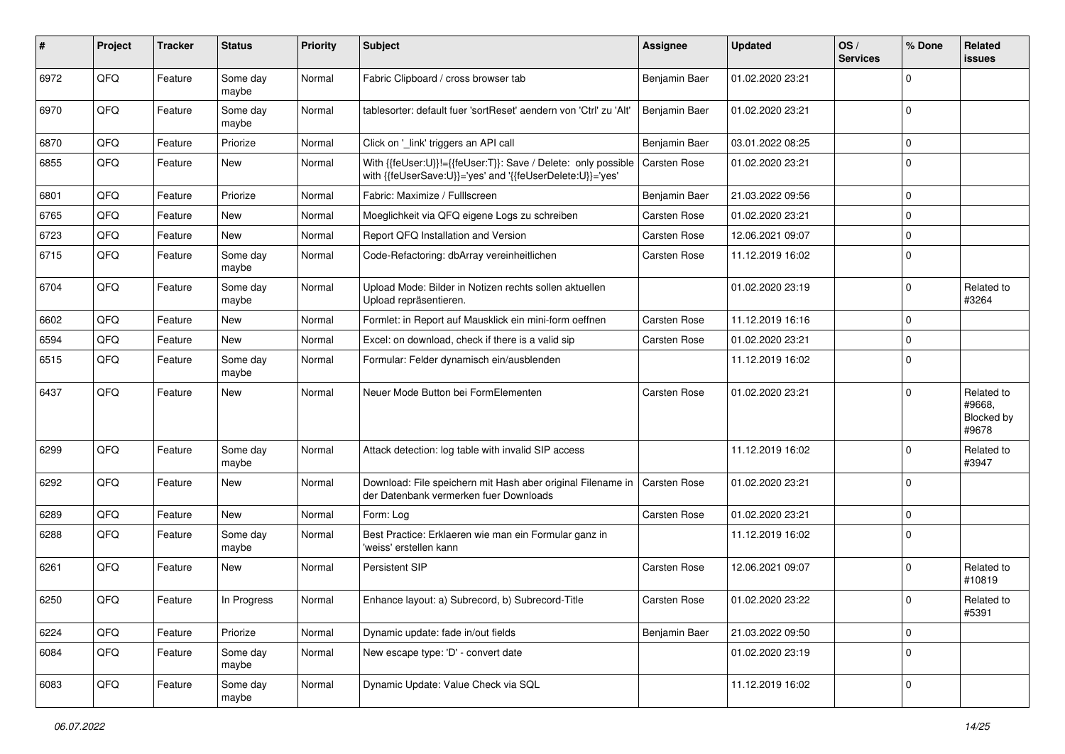| ∦    | Project | <b>Tracker</b> | <b>Status</b>     | <b>Priority</b> | Subject                                                                                                                    | Assignee            | <b>Updated</b>   | OS/<br><b>Services</b> | % Done      | Related<br>issues                                  |
|------|---------|----------------|-------------------|-----------------|----------------------------------------------------------------------------------------------------------------------------|---------------------|------------------|------------------------|-------------|----------------------------------------------------|
| 6972 | QFQ     | Feature        | Some day<br>maybe | Normal          | Fabric Clipboard / cross browser tab                                                                                       | Benjamin Baer       | 01.02.2020 23:21 |                        | $\Omega$    |                                                    |
| 6970 | QFQ     | Feature        | Some day<br>maybe | Normal          | tablesorter: default fuer 'sortReset' aendern von 'Ctrl' zu 'Alt'                                                          | Benjamin Baer       | 01.02.2020 23:21 |                        | $\mathbf 0$ |                                                    |
| 6870 | QFQ     | Feature        | Priorize          | Normal          | Click on '_link' triggers an API call                                                                                      | Benjamin Baer       | 03.01.2022 08:25 |                        | $\mathbf 0$ |                                                    |
| 6855 | QFQ     | Feature        | New               | Normal          | With {{feUser:U}}!={{feUser:T}}: Save / Delete: only possible<br>with {{feUserSave:U}}='yes' and '{{feUserDelete:U}}='yes' | Carsten Rose        | 01.02.2020 23:21 |                        | $\mathbf 0$ |                                                    |
| 6801 | QFQ     | Feature        | Priorize          | Normal          | Fabric: Maximize / FullIscreen                                                                                             | Benjamin Baer       | 21.03.2022 09:56 |                        | $\mathbf 0$ |                                                    |
| 6765 | QFQ     | Feature        | New               | Normal          | Moeglichkeit via QFQ eigene Logs zu schreiben                                                                              | <b>Carsten Rose</b> | 01.02.2020 23:21 |                        | $\mathbf 0$ |                                                    |
| 6723 | QFQ     | Feature        | New               | Normal          | Report QFQ Installation and Version                                                                                        | <b>Carsten Rose</b> | 12.06.2021 09:07 |                        | 0           |                                                    |
| 6715 | QFQ     | Feature        | Some day<br>maybe | Normal          | Code-Refactoring: dbArray vereinheitlichen                                                                                 | <b>Carsten Rose</b> | 11.12.2019 16:02 |                        | $\Omega$    |                                                    |
| 6704 | QFQ     | Feature        | Some day<br>maybe | Normal          | Upload Mode: Bilder in Notizen rechts sollen aktuellen<br>Upload repräsentieren.                                           |                     | 01.02.2020 23:19 |                        | $\mathbf 0$ | Related to<br>#3264                                |
| 6602 | QFQ     | Feature        | New               | Normal          | Formlet: in Report auf Mausklick ein mini-form oeffnen                                                                     | <b>Carsten Rose</b> | 11.12.2019 16:16 |                        | $\mathbf 0$ |                                                    |
| 6594 | QFQ     | Feature        | New               | Normal          | Excel: on download, check if there is a valid sip                                                                          | <b>Carsten Rose</b> | 01.02.2020 23:21 |                        | $\mathbf 0$ |                                                    |
| 6515 | QFQ     | Feature        | Some day<br>maybe | Normal          | Formular: Felder dynamisch ein/ausblenden                                                                                  |                     | 11.12.2019 16:02 |                        | $\Omega$    |                                                    |
| 6437 | QFQ     | Feature        | New               | Normal          | Neuer Mode Button bei FormElementen                                                                                        | <b>Carsten Rose</b> | 01.02.2020 23:21 |                        | $\Omega$    | Related to<br>#9668.<br><b>Blocked by</b><br>#9678 |
| 6299 | QFQ     | Feature        | Some day<br>maybe | Normal          | Attack detection: log table with invalid SIP access                                                                        |                     | 11.12.2019 16:02 |                        | $\Omega$    | Related to<br>#3947                                |
| 6292 | QFQ     | Feature        | New               | Normal          | Download: File speichern mit Hash aber original Filename in<br>der Datenbank vermerken fuer Downloads                      | <b>Carsten Rose</b> | 01.02.2020 23:21 |                        | $\mathbf 0$ |                                                    |
| 6289 | QFQ     | Feature        | <b>New</b>        | Normal          | Form: Log                                                                                                                  | <b>Carsten Rose</b> | 01.02.2020 23:21 |                        | $\mathbf 0$ |                                                    |
| 6288 | QFQ     | Feature        | Some day<br>maybe | Normal          | Best Practice: Erklaeren wie man ein Formular ganz in<br>'weiss' erstellen kann                                            |                     | 11.12.2019 16:02 |                        | $\mathbf 0$ |                                                    |
| 6261 | QFQ     | Feature        | <b>New</b>        | Normal          | Persistent SIP                                                                                                             | Carsten Rose        | 12.06.2021 09:07 |                        | $\Omega$    | Related to<br>#10819                               |
| 6250 | QFQ     | Feature        | In Progress       | Normal          | Enhance layout: a) Subrecord, b) Subrecord-Title                                                                           | Carsten Rose        | 01.02.2020 23:22 |                        | $\mathbf 0$ | Related to<br>#5391                                |
| 6224 | QFQ     | Feature        | Priorize          | Normal          | Dynamic update: fade in/out fields                                                                                         | Benjamin Baer       | 21.03.2022 09:50 |                        | $\mathbf 0$ |                                                    |
| 6084 | QFQ     | Feature        | Some day<br>maybe | Normal          | New escape type: 'D' - convert date                                                                                        |                     | 01.02.2020 23:19 |                        | $\mathbf 0$ |                                                    |
| 6083 | QFG     | Feature        | Some day<br>maybe | Normal          | Dynamic Update: Value Check via SQL                                                                                        |                     | 11.12.2019 16:02 |                        | $\mathbf 0$ |                                                    |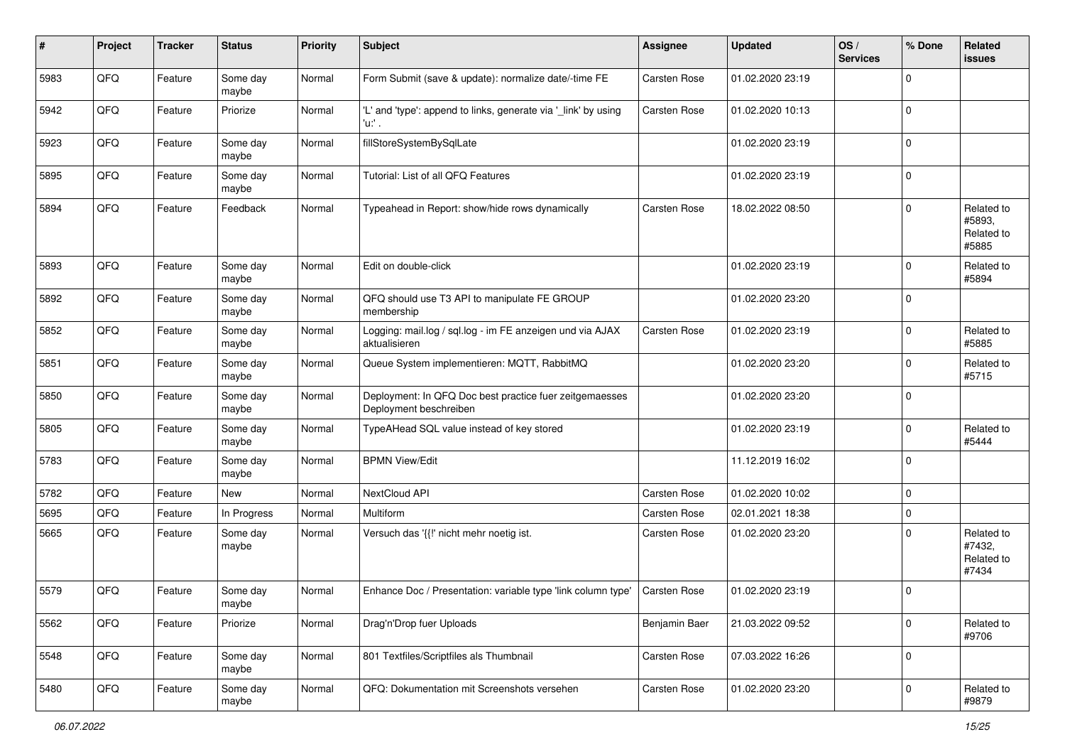| #    | Project | <b>Tracker</b> | <b>Status</b>     | <b>Priority</b> | <b>Subject</b>                                                                    | Assignee            | <b>Updated</b>   | OS/<br><b>Services</b> | % Done      | Related<br>issues                           |
|------|---------|----------------|-------------------|-----------------|-----------------------------------------------------------------------------------|---------------------|------------------|------------------------|-------------|---------------------------------------------|
| 5983 | QFQ     | Feature        | Some day<br>maybe | Normal          | Form Submit (save & update): normalize date/-time FE                              | Carsten Rose        | 01.02.2020 23:19 |                        | $\mathbf 0$ |                                             |
| 5942 | QFQ     | Feature        | Priorize          | Normal          | 'L' and 'type': append to links, generate via '_link' by using<br>'u:' .          | Carsten Rose        | 01.02.2020 10:13 |                        | $\Omega$    |                                             |
| 5923 | QFQ     | Feature        | Some day<br>maybe | Normal          | fillStoreSystemBySqlLate                                                          |                     | 01.02.2020 23:19 |                        | $\Omega$    |                                             |
| 5895 | QFQ     | Feature        | Some day<br>maybe | Normal          | Tutorial: List of all QFQ Features                                                |                     | 01.02.2020 23:19 |                        | $\mathbf 0$ |                                             |
| 5894 | QFQ     | Feature        | Feedback          | Normal          | Typeahead in Report: show/hide rows dynamically                                   | Carsten Rose        | 18.02.2022 08:50 |                        | $\Omega$    | Related to<br>#5893.<br>Related to<br>#5885 |
| 5893 | QFQ     | Feature        | Some day<br>maybe | Normal          | Edit on double-click                                                              |                     | 01.02.2020 23:19 |                        | $\mathbf 0$ | Related to<br>#5894                         |
| 5892 | QFQ     | Feature        | Some day<br>maybe | Normal          | QFQ should use T3 API to manipulate FE GROUP<br>membership                        |                     | 01.02.2020 23:20 |                        | $\Omega$    |                                             |
| 5852 | QFQ     | Feature        | Some day<br>maybe | Normal          | Logging: mail.log / sql.log - im FE anzeigen und via AJAX<br>aktualisieren        | Carsten Rose        | 01.02.2020 23:19 |                        | $\Omega$    | Related to<br>#5885                         |
| 5851 | QFQ     | Feature        | Some day<br>maybe | Normal          | Queue System implementieren: MQTT, RabbitMQ                                       |                     | 01.02.2020 23:20 |                        | $\Omega$    | Related to<br>#5715                         |
| 5850 | QFQ     | Feature        | Some day<br>maybe | Normal          | Deployment: In QFQ Doc best practice fuer zeitgemaesses<br>Deployment beschreiben |                     | 01.02.2020 23:20 |                        | $\mathbf 0$ |                                             |
| 5805 | QFQ     | Feature        | Some day<br>maybe | Normal          | TypeAHead SQL value instead of key stored                                         |                     | 01.02.2020 23:19 |                        | $\Omega$    | Related to<br>#5444                         |
| 5783 | QFQ     | Feature        | Some day<br>maybe | Normal          | <b>BPMN View/Edit</b>                                                             |                     | 11.12.2019 16:02 |                        | $\Omega$    |                                             |
| 5782 | QFQ     | Feature        | New               | Normal          | NextCloud API                                                                     | Carsten Rose        | 01.02.2020 10:02 |                        | $\mathbf 0$ |                                             |
| 5695 | QFQ     | Feature        | In Progress       | Normal          | Multiform                                                                         | Carsten Rose        | 02.01.2021 18:38 |                        | $\mathbf 0$ |                                             |
| 5665 | QFQ     | Feature        | Some day<br>maybe | Normal          | Versuch das '{{!' nicht mehr noetig ist.                                          | <b>Carsten Rose</b> | 01.02.2020 23:20 |                        | $\Omega$    | Related to<br>#7432,<br>Related to<br>#7434 |
| 5579 | QFQ     | Feature        | Some day<br>maybe | Normal          | Enhance Doc / Presentation: variable type 'link column type'                      | <b>Carsten Rose</b> | 01.02.2020 23:19 |                        | $\Omega$    |                                             |
| 5562 | QFQ     | Feature        | Priorize          | Normal          | Drag'n'Drop fuer Uploads                                                          | Benjamin Baer       | 21.03.2022 09:52 |                        | 0           | Related to<br>#9706                         |
| 5548 | QFQ     | Feature        | Some day<br>maybe | Normal          | 801 Textfiles/Scriptfiles als Thumbnail                                           | Carsten Rose        | 07.03.2022 16:26 |                        | 0           |                                             |
| 5480 | QFG     | Feature        | Some day<br>maybe | Normal          | QFQ: Dokumentation mit Screenshots versehen                                       | Carsten Rose        | 01.02.2020 23:20 |                        | $\pmb{0}$   | Related to<br>#9879                         |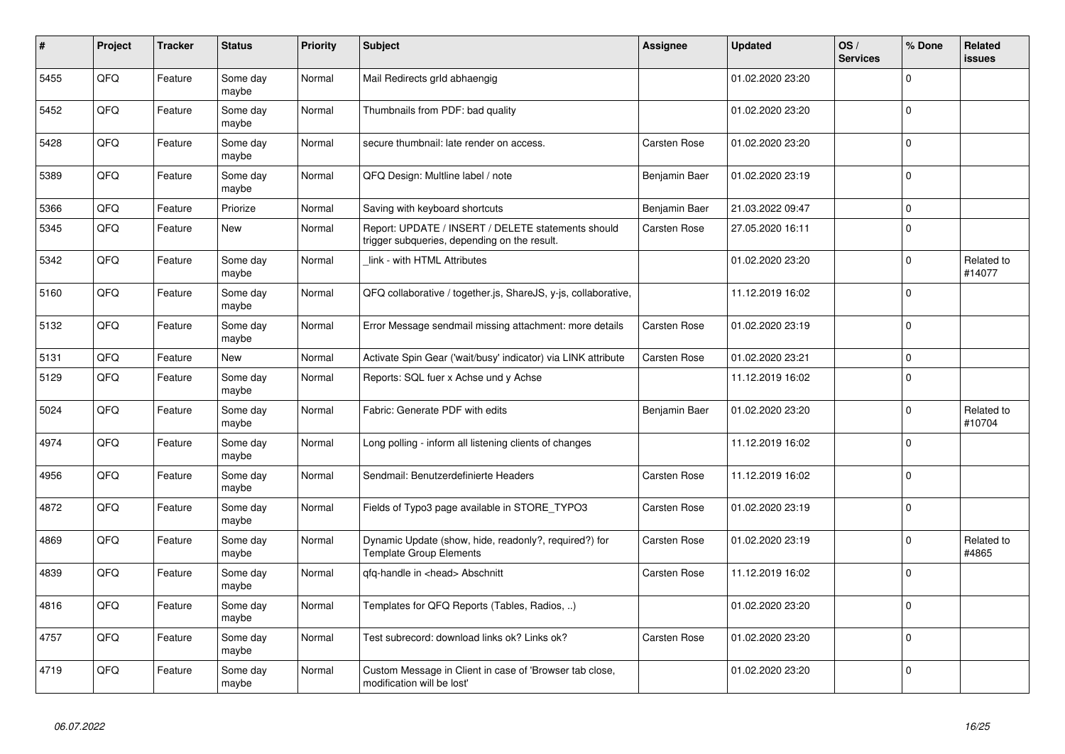| #    | Project | <b>Tracker</b> | <b>Status</b>     | <b>Priority</b> | <b>Subject</b>                                                                                     | Assignee            | <b>Updated</b>   | OS/<br><b>Services</b> | % Done      | Related<br><b>issues</b> |
|------|---------|----------------|-------------------|-----------------|----------------------------------------------------------------------------------------------------|---------------------|------------------|------------------------|-------------|--------------------------|
| 5455 | QFQ     | Feature        | Some day<br>maybe | Normal          | Mail Redirects grld abhaengig                                                                      |                     | 01.02.2020 23:20 |                        | $\Omega$    |                          |
| 5452 | QFQ     | Feature        | Some day<br>maybe | Normal          | Thumbnails from PDF: bad quality                                                                   |                     | 01.02.2020 23:20 |                        | $\mathbf 0$ |                          |
| 5428 | QFQ     | Feature        | Some day<br>maybe | Normal          | secure thumbnail: late render on access.                                                           | <b>Carsten Rose</b> | 01.02.2020 23:20 |                        | $\mathbf 0$ |                          |
| 5389 | QFQ     | Feature        | Some day<br>maybe | Normal          | QFQ Design: Multline label / note                                                                  | Benjamin Baer       | 01.02.2020 23:19 |                        | $\mathbf 0$ |                          |
| 5366 | QFQ     | Feature        | Priorize          | Normal          | Saving with keyboard shortcuts                                                                     | Benjamin Baer       | 21.03.2022 09:47 |                        | $\pmb{0}$   |                          |
| 5345 | QFQ     | Feature        | New               | Normal          | Report: UPDATE / INSERT / DELETE statements should<br>trigger subqueries, depending on the result. | Carsten Rose        | 27.05.2020 16:11 |                        | $\pmb{0}$   |                          |
| 5342 | QFQ     | Feature        | Some day<br>maybe | Normal          | link - with HTML Attributes                                                                        |                     | 01.02.2020 23:20 |                        | $\mathbf 0$ | Related to<br>#14077     |
| 5160 | QFQ     | Feature        | Some day<br>maybe | Normal          | QFQ collaborative / together.js, ShareJS, y-js, collaborative,                                     |                     | 11.12.2019 16:02 |                        | $\mathbf 0$ |                          |
| 5132 | QFQ     | Feature        | Some day<br>maybe | Normal          | Error Message sendmail missing attachment: more details                                            | Carsten Rose        | 01.02.2020 23:19 |                        | $\mathbf 0$ |                          |
| 5131 | QFQ     | Feature        | New               | Normal          | Activate Spin Gear ('wait/busy' indicator) via LINK attribute                                      | <b>Carsten Rose</b> | 01.02.2020 23:21 |                        | $\mathbf 0$ |                          |
| 5129 | QFQ     | Feature        | Some day<br>maybe | Normal          | Reports: SQL fuer x Achse und y Achse                                                              |                     | 11.12.2019 16:02 |                        | $\mathbf 0$ |                          |
| 5024 | QFQ     | Feature        | Some day<br>maybe | Normal          | Fabric: Generate PDF with edits                                                                    | Benjamin Baer       | 01.02.2020 23:20 |                        | $\mathbf 0$ | Related to<br>#10704     |
| 4974 | QFQ     | Feature        | Some day<br>maybe | Normal          | Long polling - inform all listening clients of changes                                             |                     | 11.12.2019 16:02 |                        | $\mathbf 0$ |                          |
| 4956 | QFQ     | Feature        | Some day<br>maybe | Normal          | Sendmail: Benutzerdefinierte Headers                                                               | <b>Carsten Rose</b> | 11.12.2019 16:02 |                        | $\pmb{0}$   |                          |
| 4872 | QFQ     | Feature        | Some day<br>maybe | Normal          | Fields of Typo3 page available in STORE TYPO3                                                      | <b>Carsten Rose</b> | 01.02.2020 23:19 |                        | $\mathbf 0$ |                          |
| 4869 | QFQ     | Feature        | Some day<br>maybe | Normal          | Dynamic Update (show, hide, readonly?, required?) for<br><b>Template Group Elements</b>            | Carsten Rose        | 01.02.2020 23:19 |                        | $\mathbf 0$ | Related to<br>#4865      |
| 4839 | QFQ     | Feature        | Some day<br>maybe | Normal          | qfq-handle in <head> Abschnitt</head>                                                              | Carsten Rose        | 11.12.2019 16:02 |                        | $\Omega$    |                          |
| 4816 | QFQ     | Feature        | Some day<br>maybe | Normal          | Templates for QFQ Reports (Tables, Radios, )                                                       |                     | 01.02.2020 23:20 |                        | $\mathbf 0$ |                          |
| 4757 | QFQ     | Feature        | Some day<br>maybe | Normal          | Test subrecord: download links ok? Links ok?                                                       | <b>Carsten Rose</b> | 01.02.2020 23:20 |                        | $\mathbf 0$ |                          |
| 4719 | QFQ     | Feature        | Some day<br>maybe | Normal          | Custom Message in Client in case of 'Browser tab close,<br>modification will be lost'              |                     | 01.02.2020 23:20 |                        | $\mathbf 0$ |                          |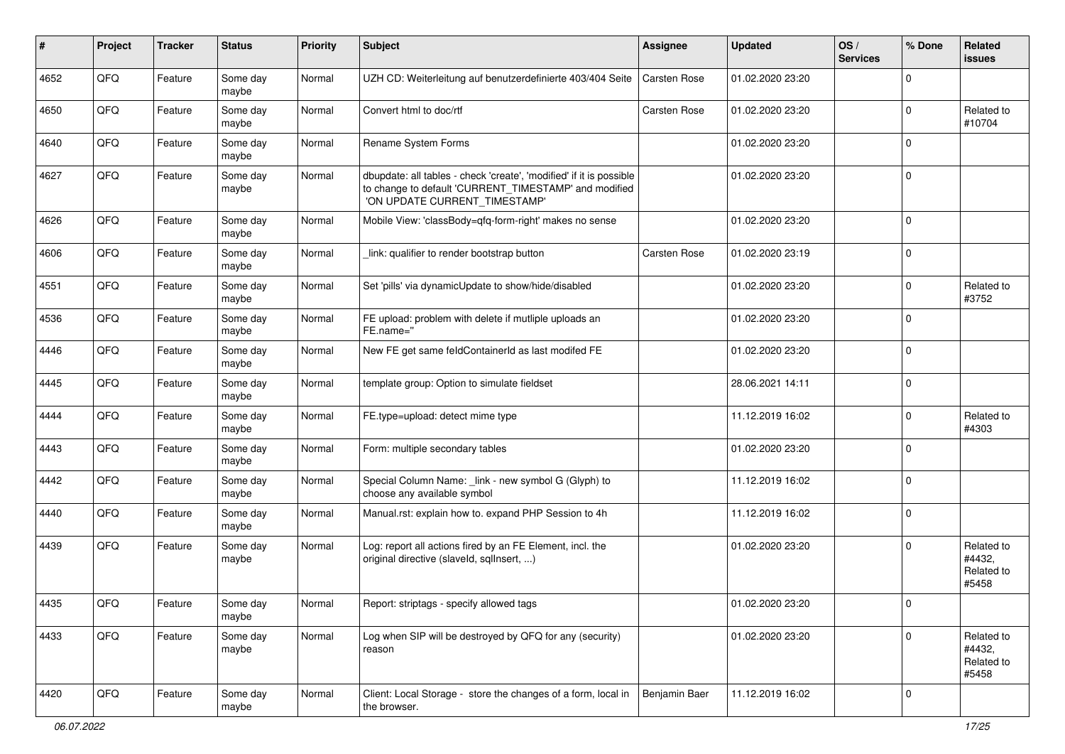| ∦    | Project | <b>Tracker</b> | <b>Status</b>     | <b>Priority</b> | Subject                                                                                                                                                       | Assignee            | <b>Updated</b>   | OS/<br><b>Services</b> | % Done      | Related<br>issues                           |
|------|---------|----------------|-------------------|-----------------|---------------------------------------------------------------------------------------------------------------------------------------------------------------|---------------------|------------------|------------------------|-------------|---------------------------------------------|
| 4652 | QFQ     | Feature        | Some day<br>maybe | Normal          | UZH CD: Weiterleitung auf benutzerdefinierte 403/404 Seite                                                                                                    | <b>Carsten Rose</b> | 01.02.2020 23:20 |                        | $\Omega$    |                                             |
| 4650 | QFQ     | Feature        | Some day<br>maybe | Normal          | Convert html to doc/rtf                                                                                                                                       | <b>Carsten Rose</b> | 01.02.2020 23:20 |                        | $\Omega$    | Related to<br>#10704                        |
| 4640 | QFQ     | Feature        | Some day<br>maybe | Normal          | Rename System Forms                                                                                                                                           |                     | 01.02.2020 23:20 |                        | $\Omega$    |                                             |
| 4627 | QFQ     | Feature        | Some day<br>maybe | Normal          | dbupdate: all tables - check 'create', 'modified' if it is possible<br>to change to default 'CURRENT_TIMESTAMP' and modified<br>'ON UPDATE CURRENT TIMESTAMP' |                     | 01.02.2020 23:20 |                        | $\Omega$    |                                             |
| 4626 | QFQ     | Feature        | Some day<br>maybe | Normal          | Mobile View: 'classBody=qfq-form-right' makes no sense                                                                                                        |                     | 01.02.2020 23:20 |                        | $\Omega$    |                                             |
| 4606 | QFQ     | Feature        | Some day<br>maybe | Normal          | link: qualifier to render bootstrap button                                                                                                                    | Carsten Rose        | 01.02.2020 23:19 |                        | $\Omega$    |                                             |
| 4551 | QFQ     | Feature        | Some day<br>maybe | Normal          | Set 'pills' via dynamicUpdate to show/hide/disabled                                                                                                           |                     | 01.02.2020 23:20 |                        | $\Omega$    | Related to<br>#3752                         |
| 4536 | QFQ     | Feature        | Some day<br>maybe | Normal          | FE upload: problem with delete if mutliple uploads an<br>FE.name="                                                                                            |                     | 01.02.2020 23:20 |                        | $\Omega$    |                                             |
| 4446 | QFQ     | Feature        | Some day<br>maybe | Normal          | New FE get same feldContainerId as last modifed FE                                                                                                            |                     | 01.02.2020 23:20 |                        | $\Omega$    |                                             |
| 4445 | QFQ     | Feature        | Some day<br>maybe | Normal          | template group: Option to simulate fieldset                                                                                                                   |                     | 28.06.2021 14:11 |                        | $\Omega$    |                                             |
| 4444 | QFQ     | Feature        | Some day<br>maybe | Normal          | FE.type=upload: detect mime type                                                                                                                              |                     | 11.12.2019 16:02 |                        | $\mathbf 0$ | Related to<br>#4303                         |
| 4443 | QFQ     | Feature        | Some day<br>maybe | Normal          | Form: multiple secondary tables                                                                                                                               |                     | 01.02.2020 23:20 |                        | $\Omega$    |                                             |
| 4442 | QFQ     | Feature        | Some day<br>maybe | Normal          | Special Column Name: _link - new symbol G (Glyph) to<br>choose any available symbol                                                                           |                     | 11.12.2019 16:02 |                        | $\Omega$    |                                             |
| 4440 | QFQ     | Feature        | Some day<br>maybe | Normal          | Manual.rst: explain how to. expand PHP Session to 4h                                                                                                          |                     | 11.12.2019 16:02 |                        | $\Omega$    |                                             |
| 4439 | QFQ     | Feature        | Some day<br>maybe | Normal          | Log: report all actions fired by an FE Element, incl. the<br>original directive (slaveld, sqlInsert, )                                                        |                     | 01.02.2020 23:20 |                        | $\Omega$    | Related to<br>#4432.<br>Related to<br>#5458 |
| 4435 | QFQ     | Feature        | Some day<br>maybe | Normal          | Report: striptags - specify allowed tags                                                                                                                      |                     | 01.02.2020 23:20 |                        | $\mathbf 0$ |                                             |
| 4433 | QFG     | Feature        | Some day<br>maybe | Normal          | Log when SIP will be destroyed by QFQ for any (security)<br>reason                                                                                            |                     | 01.02.2020 23:20 |                        | 0           | Related to<br>#4432,<br>Related to<br>#5458 |
| 4420 | QFG     | Feature        | Some day<br>maybe | Normal          | Client: Local Storage - store the changes of a form, local in<br>the browser.                                                                                 | Benjamin Baer       | 11.12.2019 16:02 |                        | 0           |                                             |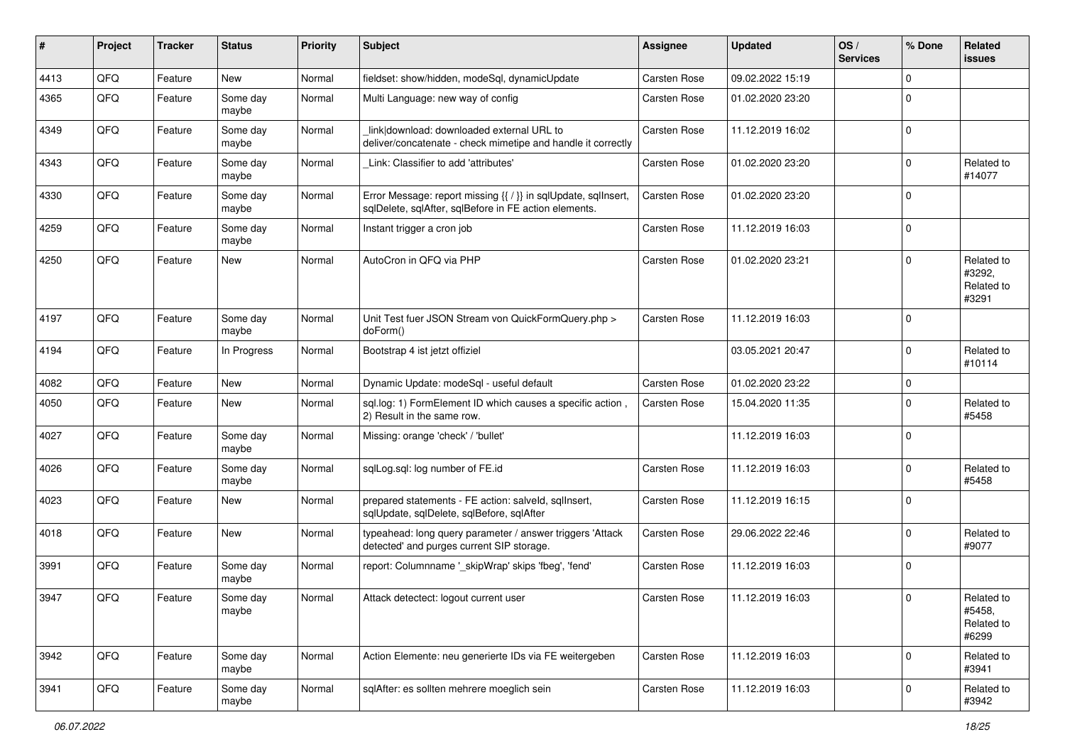| ∦    | Project | <b>Tracker</b> | <b>Status</b>     | <b>Priority</b> | <b>Subject</b>                                                                                                          | <b>Assignee</b>     | <b>Updated</b>   | OS/<br><b>Services</b> | % Done      | Related<br>issues                           |
|------|---------|----------------|-------------------|-----------------|-------------------------------------------------------------------------------------------------------------------------|---------------------|------------------|------------------------|-------------|---------------------------------------------|
| 4413 | QFQ     | Feature        | <b>New</b>        | Normal          | fieldset: show/hidden, modeSql, dynamicUpdate                                                                           | Carsten Rose        | 09.02.2022 15:19 |                        | $\mathbf 0$ |                                             |
| 4365 | QFQ     | Feature        | Some day<br>maybe | Normal          | Multi Language: new way of config                                                                                       | <b>Carsten Rose</b> | 01.02.2020 23:20 |                        | $\Omega$    |                                             |
| 4349 | QFQ     | Feature        | Some day<br>maybe | Normal          | link download: downloaded external URL to<br>deliver/concatenate - check mimetipe and handle it correctly               | <b>Carsten Rose</b> | 11.12.2019 16:02 |                        | $\Omega$    |                                             |
| 4343 | QFQ     | Feature        | Some day<br>maybe | Normal          | Link: Classifier to add 'attributes'                                                                                    | <b>Carsten Rose</b> | 01.02.2020 23:20 |                        | $\Omega$    | Related to<br>#14077                        |
| 4330 | QFQ     | Feature        | Some day<br>maybe | Normal          | Error Message: report missing {{ / }} in sqlUpdate, sqlInsert,<br>sqlDelete, sqlAfter, sqlBefore in FE action elements. | Carsten Rose        | 01.02.2020 23:20 |                        | $\Omega$    |                                             |
| 4259 | QFQ     | Feature        | Some day<br>maybe | Normal          | Instant trigger a cron job                                                                                              | Carsten Rose        | 11.12.2019 16:03 |                        | $\Omega$    |                                             |
| 4250 | QFQ     | Feature        | New               | Normal          | AutoCron in QFQ via PHP                                                                                                 | <b>Carsten Rose</b> | 01.02.2020 23:21 |                        | $\Omega$    | Related to<br>#3292.<br>Related to<br>#3291 |
| 4197 | QFQ     | Feature        | Some day<br>maybe | Normal          | Unit Test fuer JSON Stream von QuickFormQuery.php ><br>doForm()                                                         | Carsten Rose        | 11.12.2019 16:03 |                        | $\Omega$    |                                             |
| 4194 | QFQ     | Feature        | In Progress       | Normal          | Bootstrap 4 ist jetzt offiziel                                                                                          |                     | 03.05.2021 20:47 |                        | $\Omega$    | Related to<br>#10114                        |
| 4082 | QFQ     | Feature        | <b>New</b>        | Normal          | Dynamic Update: modeSql - useful default                                                                                | <b>Carsten Rose</b> | 01.02.2020 23:22 |                        | $\mathbf 0$ |                                             |
| 4050 | QFQ     | Feature        | New               | Normal          | sql.log: 1) FormElement ID which causes a specific action,<br>2) Result in the same row.                                | Carsten Rose        | 15.04.2020 11:35 |                        | $\Omega$    | Related to<br>#5458                         |
| 4027 | QFQ     | Feature        | Some day<br>maybe | Normal          | Missing: orange 'check' / 'bullet'                                                                                      |                     | 11.12.2019 16:03 |                        | $\Omega$    |                                             |
| 4026 | QFQ     | Feature        | Some day<br>maybe | Normal          | sqlLog.sql: log number of FE.id                                                                                         | <b>Carsten Rose</b> | 11.12.2019 16:03 |                        | $\Omega$    | Related to<br>#5458                         |
| 4023 | QFQ     | Feature        | New               | Normal          | prepared statements - FE action: salveld, sqlInsert,<br>sqlUpdate, sqlDelete, sqlBefore, sqlAfter                       | <b>Carsten Rose</b> | 11.12.2019 16:15 |                        | $\Omega$    |                                             |
| 4018 | QFQ     | Feature        | <b>New</b>        | Normal          | typeahead: long query parameter / answer triggers 'Attack<br>detected' and purges current SIP storage.                  | <b>Carsten Rose</b> | 29.06.2022 22:46 |                        | $\Omega$    | Related to<br>#9077                         |
| 3991 | QFQ     | Feature        | Some day<br>maybe | Normal          | report: Columnname ' skipWrap' skips 'fbeg', 'fend'                                                                     | Carsten Rose        | 11.12.2019 16:03 |                        | $\Omega$    |                                             |
| 3947 | QFQ     | Feature        | Some day<br>maybe | Normal          | Attack detectect: logout current user                                                                                   | <b>Carsten Rose</b> | 11.12.2019 16:03 |                        | $\Omega$    | Related to<br>#5458,<br>Related to<br>#6299 |
| 3942 | QFQ     | Feature        | Some day<br>maybe | Normal          | Action Elemente: neu generierte IDs via FE weitergeben                                                                  | <b>Carsten Rose</b> | 11.12.2019 16:03 |                        | 0           | Related to<br>#3941                         |
| 3941 | QFG     | Feature        | Some day<br>maybe | Normal          | sqlAfter: es sollten mehrere moeglich sein                                                                              | Carsten Rose        | 11.12.2019 16:03 |                        | 0           | Related to<br>#3942                         |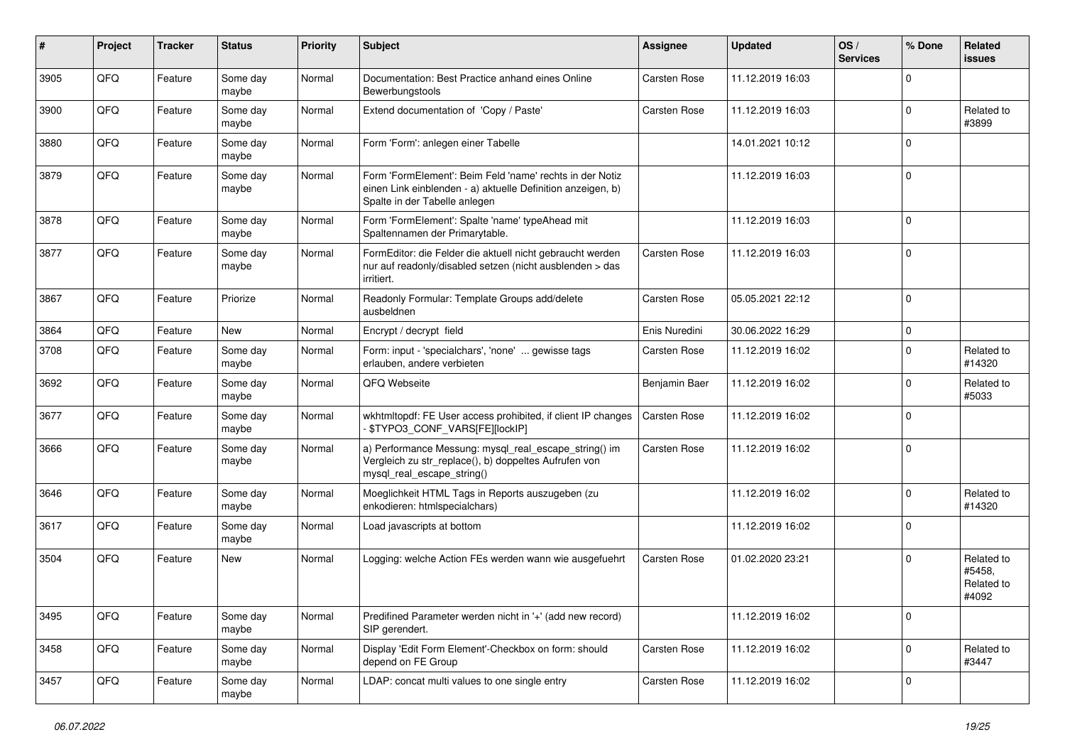| #    | Project | <b>Tracker</b> | <b>Status</b>     | <b>Priority</b> | <b>Subject</b>                                                                                                                                           | Assignee            | <b>Updated</b>   | OS/<br><b>Services</b> | % Done      | Related<br>issues                           |
|------|---------|----------------|-------------------|-----------------|----------------------------------------------------------------------------------------------------------------------------------------------------------|---------------------|------------------|------------------------|-------------|---------------------------------------------|
| 3905 | QFQ     | Feature        | Some day<br>maybe | Normal          | Documentation: Best Practice anhand eines Online<br>Bewerbungstools                                                                                      | <b>Carsten Rose</b> | 11.12.2019 16:03 |                        | $\mathbf 0$ |                                             |
| 3900 | QFQ     | Feature        | Some day<br>maybe | Normal          | Extend documentation of 'Copy / Paste'                                                                                                                   | Carsten Rose        | 11.12.2019 16:03 |                        | $\mathbf 0$ | Related to<br>#3899                         |
| 3880 | QFQ     | Feature        | Some day<br>maybe | Normal          | Form 'Form': anlegen einer Tabelle                                                                                                                       |                     | 14.01.2021 10:12 |                        | $\mathbf 0$ |                                             |
| 3879 | QFQ     | Feature        | Some day<br>maybe | Normal          | Form 'FormElement': Beim Feld 'name' rechts in der Notiz<br>einen Link einblenden - a) aktuelle Definition anzeigen, b)<br>Spalte in der Tabelle anlegen |                     | 11.12.2019 16:03 |                        | $\mathbf 0$ |                                             |
| 3878 | QFQ     | Feature        | Some day<br>maybe | Normal          | Form 'FormElement': Spalte 'name' typeAhead mit<br>Spaltennamen der Primarytable.                                                                        |                     | 11.12.2019 16:03 |                        | $\mathbf 0$ |                                             |
| 3877 | QFQ     | Feature        | Some day<br>maybe | Normal          | FormEditor: die Felder die aktuell nicht gebraucht werden<br>nur auf readonly/disabled setzen (nicht ausblenden > das<br>irritiert.                      | Carsten Rose        | 11.12.2019 16:03 |                        | $\mathbf 0$ |                                             |
| 3867 | QFQ     | Feature        | Priorize          | Normal          | Readonly Formular: Template Groups add/delete<br>ausbeldnen                                                                                              | Carsten Rose        | 05.05.2021 22:12 |                        | $\mathbf 0$ |                                             |
| 3864 | QFQ     | Feature        | New               | Normal          | Encrypt / decrypt field                                                                                                                                  | Enis Nuredini       | 30.06.2022 16:29 |                        | $\mathbf 0$ |                                             |
| 3708 | QFQ     | Feature        | Some day<br>maybe | Normal          | Form: input - 'specialchars', 'none'  gewisse tags<br>erlauben, andere verbieten                                                                         | <b>Carsten Rose</b> | 11.12.2019 16:02 |                        | $\mathbf 0$ | Related to<br>#14320                        |
| 3692 | QFQ     | Feature        | Some day<br>maybe | Normal          | QFQ Webseite                                                                                                                                             | Benjamin Baer       | 11.12.2019 16:02 |                        | $\mathbf 0$ | Related to<br>#5033                         |
| 3677 | QFQ     | Feature        | Some day<br>maybe | Normal          | wkhtmltopdf: FE User access prohibited, if client IP changes<br>- \$TYPO3_CONF_VARS[FE][lockIP]                                                          | Carsten Rose        | 11.12.2019 16:02 |                        | $\Omega$    |                                             |
| 3666 | QFQ     | Feature        | Some day<br>maybe | Normal          | a) Performance Messung: mysql_real_escape_string() im<br>Vergleich zu str_replace(), b) doppeltes Aufrufen von<br>mysql_real_escape_string()             | <b>Carsten Rose</b> | 11.12.2019 16:02 |                        | $\mathbf 0$ |                                             |
| 3646 | QFQ     | Feature        | Some day<br>maybe | Normal          | Moeglichkeit HTML Tags in Reports auszugeben (zu<br>enkodieren: htmlspecialchars)                                                                        |                     | 11.12.2019 16:02 |                        | $\mathbf 0$ | Related to<br>#14320                        |
| 3617 | QFQ     | Feature        | Some day<br>maybe | Normal          | Load javascripts at bottom                                                                                                                               |                     | 11.12.2019 16:02 |                        | $\Omega$    |                                             |
| 3504 | QFQ     | Feature        | New               | Normal          | Logging: welche Action FEs werden wann wie ausgefuehrt                                                                                                   | <b>Carsten Rose</b> | 01.02.2020 23:21 |                        | $\mathbf 0$ | Related to<br>#5458.<br>Related to<br>#4092 |
| 3495 | QFQ     | Feature        | Some day<br>maybe | Normal          | Predifined Parameter werden nicht in '+' (add new record)<br>SIP gerendert.                                                                              |                     | 11.12.2019 16:02 |                        | $\mathbf 0$ |                                             |
| 3458 | QFQ     | Feature        | Some day<br>maybe | Normal          | Display 'Edit Form Element'-Checkbox on form: should<br>depend on FE Group                                                                               | Carsten Rose        | 11.12.2019 16:02 |                        | $\mathbf 0$ | Related to<br>#3447                         |
| 3457 | QFQ     | Feature        | Some day<br>maybe | Normal          | LDAP: concat multi values to one single entry                                                                                                            | Carsten Rose        | 11.12.2019 16:02 |                        | $\mathbf 0$ |                                             |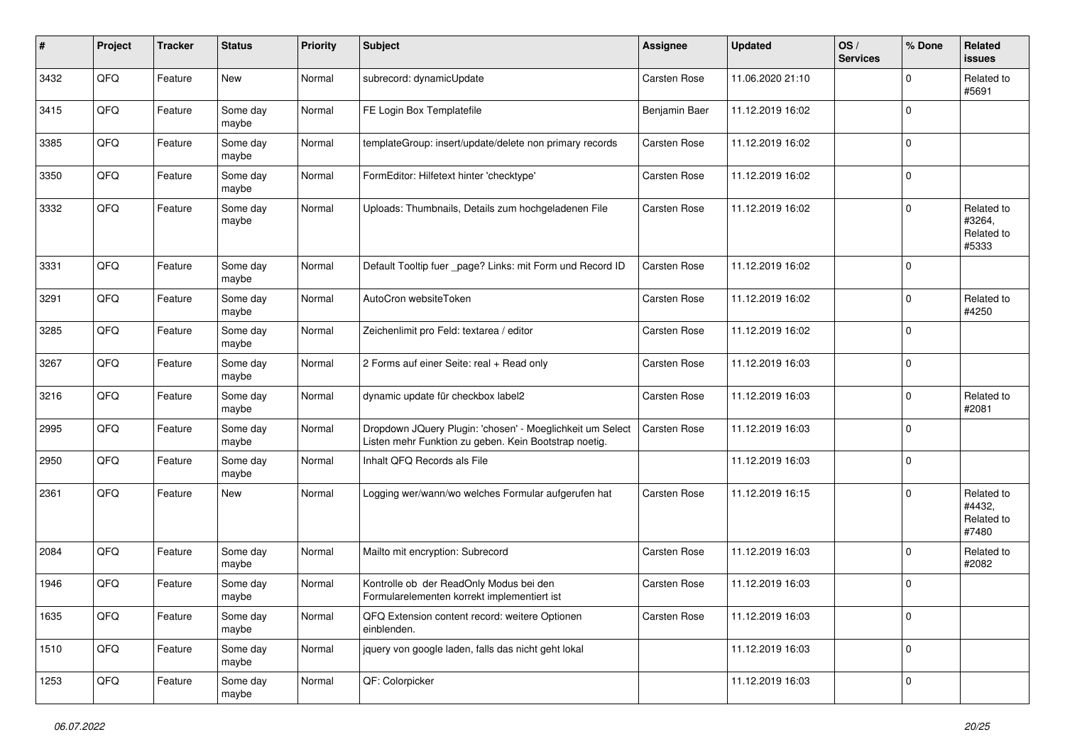| #    | Project | <b>Tracker</b> | <b>Status</b>     | <b>Priority</b> | <b>Subject</b>                                                                                                     | <b>Assignee</b>     | <b>Updated</b>   | OS/<br><b>Services</b> | % Done      | Related<br>issues                           |
|------|---------|----------------|-------------------|-----------------|--------------------------------------------------------------------------------------------------------------------|---------------------|------------------|------------------------|-------------|---------------------------------------------|
| 3432 | QFQ     | Feature        | New               | Normal          | subrecord: dynamicUpdate                                                                                           | <b>Carsten Rose</b> | 11.06.2020 21:10 |                        | $\Omega$    | Related to<br>#5691                         |
| 3415 | QFQ     | Feature        | Some day<br>maybe | Normal          | FE Login Box Templatefile                                                                                          | Benjamin Baer       | 11.12.2019 16:02 |                        | $\mathbf 0$ |                                             |
| 3385 | QFQ     | Feature        | Some day<br>maybe | Normal          | templateGroup: insert/update/delete non primary records                                                            | Carsten Rose        | 11.12.2019 16:02 |                        | $\Omega$    |                                             |
| 3350 | QFQ     | Feature        | Some day<br>maybe | Normal          | FormEditor: Hilfetext hinter 'checktype'                                                                           | <b>Carsten Rose</b> | 11.12.2019 16:02 |                        | $\mathbf 0$ |                                             |
| 3332 | QFQ     | Feature        | Some day<br>maybe | Normal          | Uploads: Thumbnails, Details zum hochgeladenen File                                                                | <b>Carsten Rose</b> | 11.12.2019 16:02 |                        | $\Omega$    | Related to<br>#3264,<br>Related to<br>#5333 |
| 3331 | QFQ     | Feature        | Some day<br>maybe | Normal          | Default Tooltip fuer _page? Links: mit Form und Record ID                                                          | Carsten Rose        | 11.12.2019 16:02 |                        | $\mathbf 0$ |                                             |
| 3291 | QFQ     | Feature        | Some day<br>maybe | Normal          | AutoCron websiteToken                                                                                              | Carsten Rose        | 11.12.2019 16:02 |                        | $\mathbf 0$ | Related to<br>#4250                         |
| 3285 | QFQ     | Feature        | Some day<br>maybe | Normal          | Zeichenlimit pro Feld: textarea / editor                                                                           | Carsten Rose        | 11.12.2019 16:02 |                        | $\mathbf 0$ |                                             |
| 3267 | QFQ     | Feature        | Some day<br>maybe | Normal          | 2 Forms auf einer Seite: real + Read only                                                                          | Carsten Rose        | 11.12.2019 16:03 |                        | $\mathbf 0$ |                                             |
| 3216 | QFQ     | Feature        | Some day<br>maybe | Normal          | dynamic update für checkbox label2                                                                                 | <b>Carsten Rose</b> | 11.12.2019 16:03 |                        | 0           | Related to<br>#2081                         |
| 2995 | QFQ     | Feature        | Some day<br>maybe | Normal          | Dropdown JQuery Plugin: 'chosen' - Moeglichkeit um Select<br>Listen mehr Funktion zu geben. Kein Bootstrap noetig. | <b>Carsten Rose</b> | 11.12.2019 16:03 |                        | $\mathbf 0$ |                                             |
| 2950 | QFQ     | Feature        | Some day<br>maybe | Normal          | Inhalt QFQ Records als File                                                                                        |                     | 11.12.2019 16:03 |                        | $\mathbf 0$ |                                             |
| 2361 | QFQ     | Feature        | New               | Normal          | Logging wer/wann/wo welches Formular aufgerufen hat                                                                | <b>Carsten Rose</b> | 11.12.2019 16:15 |                        | $\Omega$    | Related to<br>#4432,<br>Related to<br>#7480 |
| 2084 | QFQ     | Feature        | Some day<br>maybe | Normal          | Mailto mit encryption: Subrecord                                                                                   | <b>Carsten Rose</b> | 11.12.2019 16:03 |                        | $\mathbf 0$ | Related to<br>#2082                         |
| 1946 | QFQ     | Feature        | Some day<br>maybe | Normal          | Kontrolle ob der ReadOnly Modus bei den<br>Formularelementen korrekt implementiert ist                             | Carsten Rose        | 11.12.2019 16:03 |                        | $\mathbf 0$ |                                             |
| 1635 | QFG     | Feature        | Some day<br>maybe | Normal          | QFQ Extension content record: weitere Optionen<br>einblenden.                                                      | Carsten Rose        | 11.12.2019 16:03 |                        | 0           |                                             |
| 1510 | QFG     | Feature        | Some day<br>maybe | Normal          | jquery von google laden, falls das nicht geht lokal                                                                |                     | 11.12.2019 16:03 |                        | $\pmb{0}$   |                                             |
| 1253 | QFQ     | Feature        | Some day<br>maybe | Normal          | QF: Colorpicker                                                                                                    |                     | 11.12.2019 16:03 |                        | 0           |                                             |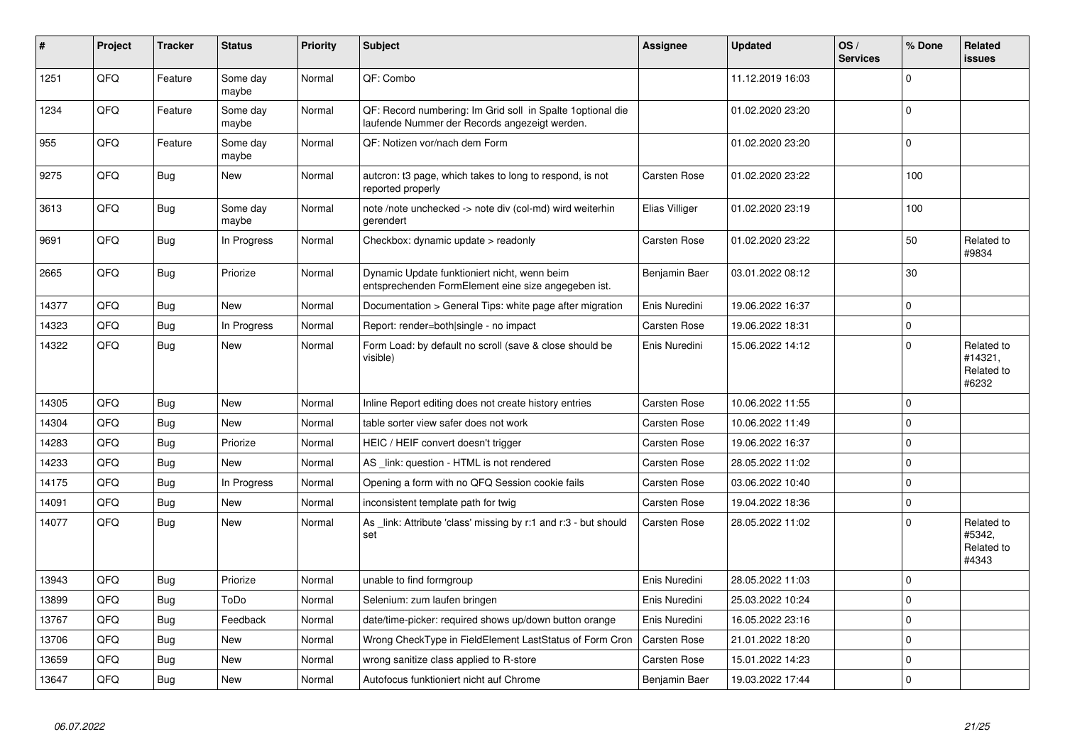| #     | Project | <b>Tracker</b> | <b>Status</b>     | <b>Priority</b> | <b>Subject</b>                                                                                               | <b>Assignee</b>     | <b>Updated</b>   | OS/<br><b>Services</b> | % Done      | <b>Related</b><br><b>issues</b>              |
|-------|---------|----------------|-------------------|-----------------|--------------------------------------------------------------------------------------------------------------|---------------------|------------------|------------------------|-------------|----------------------------------------------|
| 1251  | QFQ     | Feature        | Some day<br>maybe | Normal          | QF: Combo                                                                                                    |                     | 11.12.2019 16:03 |                        | $\Omega$    |                                              |
| 1234  | QFQ     | Feature        | Some day<br>maybe | Normal          | QF: Record numbering: Im Grid soll in Spalte 1 optional die<br>laufende Nummer der Records angezeigt werden. |                     | 01.02.2020 23:20 |                        | 0           |                                              |
| 955   | QFQ     | Feature        | Some day<br>maybe | Normal          | QF: Notizen vor/nach dem Form                                                                                |                     | 01.02.2020 23:20 |                        | $\Omega$    |                                              |
| 9275  | QFQ     | <b>Bug</b>     | <b>New</b>        | Normal          | autcron: t3 page, which takes to long to respond, is not<br>reported properly                                | <b>Carsten Rose</b> | 01.02.2020 23:22 |                        | 100         |                                              |
| 3613  | QFQ     | Bug            | Some day<br>maybe | Normal          | note /note unchecked -> note div (col-md) wird weiterhin<br>gerendert                                        | Elias Villiger      | 01.02.2020 23:19 |                        | 100         |                                              |
| 9691  | QFQ     | Bug            | In Progress       | Normal          | Checkbox: dynamic update $>$ readonly                                                                        | <b>Carsten Rose</b> | 01.02.2020 23:22 |                        | 50          | Related to<br>#9834                          |
| 2665  | QFQ     | Bug            | Priorize          | Normal          | Dynamic Update funktioniert nicht, wenn beim<br>entsprechenden FormElement eine size angegeben ist.          | Benjamin Baer       | 03.01.2022 08:12 |                        | 30          |                                              |
| 14377 | QFQ     | <b>Bug</b>     | New               | Normal          | Documentation > General Tips: white page after migration                                                     | Enis Nuredini       | 19.06.2022 16:37 |                        | $\mathbf 0$ |                                              |
| 14323 | QFQ     | Bug            | In Progress       | Normal          | Report: render=both single - no impact                                                                       | <b>Carsten Rose</b> | 19.06.2022 18:31 |                        | $\Omega$    |                                              |
| 14322 | QFQ     | Bug            | New               | Normal          | Form Load: by default no scroll (save & close should be<br>visible)                                          | Enis Nuredini       | 15.06.2022 14:12 |                        | $\Omega$    | Related to<br>#14321,<br>Related to<br>#6232 |
| 14305 | QFQ     | <b>Bug</b>     | <b>New</b>        | Normal          | Inline Report editing does not create history entries                                                        | Carsten Rose        | 10.06.2022 11:55 |                        | $\Omega$    |                                              |
| 14304 | QFQ     | Bug            | <b>New</b>        | Normal          | table sorter view safer does not work                                                                        | <b>Carsten Rose</b> | 10.06.2022 11:49 |                        | $\Omega$    |                                              |
| 14283 | QFQ     | <b>Bug</b>     | Priorize          | Normal          | HEIC / HEIF convert doesn't trigger                                                                          | <b>Carsten Rose</b> | 19.06.2022 16:37 |                        | $\Omega$    |                                              |
| 14233 | QFQ     | Bug            | New               | Normal          | AS link: question - HTML is not rendered                                                                     | Carsten Rose        | 28.05.2022 11:02 |                        | $\Omega$    |                                              |
| 14175 | QFQ     | Bug            | In Progress       | Normal          | Opening a form with no QFQ Session cookie fails                                                              | Carsten Rose        | 03.06.2022 10:40 |                        | $\Omega$    |                                              |
| 14091 | QFQ     | <b>Bug</b>     | <b>New</b>        | Normal          | inconsistent template path for twig                                                                          | Carsten Rose        | 19.04.2022 18:36 |                        | 0           |                                              |
| 14077 | QFQ     | Bug            | New               | Normal          | As link: Attribute 'class' missing by r:1 and r:3 - but should<br>set                                        | <b>Carsten Rose</b> | 28.05.2022 11:02 |                        | $\Omega$    | Related to<br>#5342,<br>Related to<br>#4343  |
| 13943 | QFQ     | <b>Bug</b>     | Priorize          | Normal          | unable to find formgroup                                                                                     | Enis Nuredini       | 28.05.2022 11:03 |                        | $\mathbf 0$ |                                              |
| 13899 | QFQ     | Bug            | ToDo              | Normal          | Selenium: zum laufen bringen                                                                                 | Enis Nuredini       | 25.03.2022 10:24 |                        | $\Omega$    |                                              |
| 13767 | QFQ     | Bug            | Feedback          | Normal          | date/time-picker: required shows up/down button orange                                                       | Enis Nuredini       | 16.05.2022 23:16 |                        | $\Omega$    |                                              |
| 13706 | QFQ     | Bug            | New               | Normal          | Wrong CheckType in FieldElement LastStatus of Form Cron                                                      | <b>Carsten Rose</b> | 21.01.2022 18:20 |                        | $\Omega$    |                                              |
| 13659 | QFQ     | <b>Bug</b>     | New               | Normal          | wrong sanitize class applied to R-store                                                                      | Carsten Rose        | 15.01.2022 14:23 |                        | $\Omega$    |                                              |
| 13647 | QFQ     | Bug            | New               | Normal          | Autofocus funktioniert nicht auf Chrome                                                                      | Benjamin Baer       | 19.03.2022 17:44 |                        | $\Omega$    |                                              |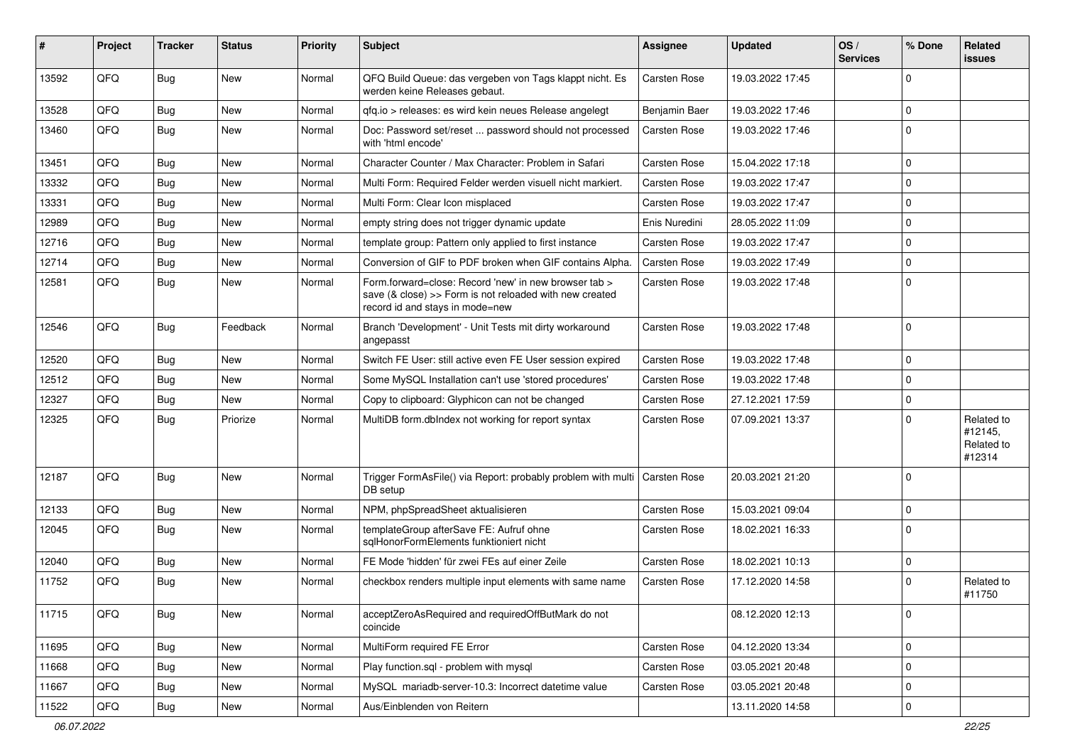| #     | Project | <b>Tracker</b> | <b>Status</b> | <b>Priority</b> | <b>Subject</b>                                                                                                                                      | <b>Assignee</b>     | <b>Updated</b>   | OS/<br><b>Services</b> | % Done      | Related<br>issues                             |
|-------|---------|----------------|---------------|-----------------|-----------------------------------------------------------------------------------------------------------------------------------------------------|---------------------|------------------|------------------------|-------------|-----------------------------------------------|
| 13592 | QFQ     | <b>Bug</b>     | <b>New</b>    | Normal          | QFQ Build Queue: das vergeben von Tags klappt nicht. Es<br>werden keine Releases gebaut.                                                            | Carsten Rose        | 19.03.2022 17:45 |                        | $\mathbf 0$ |                                               |
| 13528 | QFQ     | Bug            | <b>New</b>    | Normal          | qfq.io > releases: es wird kein neues Release angelegt                                                                                              | Benjamin Baer       | 19.03.2022 17:46 |                        | 0           |                                               |
| 13460 | QFQ     | <b>Bug</b>     | <b>New</b>    | Normal          | Doc: Password set/reset  password should not processed<br>with 'html encode'                                                                        | <b>Carsten Rose</b> | 19.03.2022 17:46 |                        | $\mathbf 0$ |                                               |
| 13451 | QFQ     | Bug            | <b>New</b>    | Normal          | Character Counter / Max Character: Problem in Safari                                                                                                | Carsten Rose        | 15.04.2022 17:18 |                        | $\mathbf 0$ |                                               |
| 13332 | QFQ     | Bug            | <b>New</b>    | Normal          | Multi Form: Required Felder werden visuell nicht markiert.                                                                                          | <b>Carsten Rose</b> | 19.03.2022 17:47 |                        | 0           |                                               |
| 13331 | QFQ     | Bug            | <b>New</b>    | Normal          | Multi Form: Clear Icon misplaced                                                                                                                    | Carsten Rose        | 19.03.2022 17:47 |                        | $\mathbf 0$ |                                               |
| 12989 | QFQ     | <b>Bug</b>     | <b>New</b>    | Normal          | empty string does not trigger dynamic update                                                                                                        | Enis Nuredini       | 28.05.2022 11:09 |                        | $\mathbf 0$ |                                               |
| 12716 | QFQ     | Bug            | <b>New</b>    | Normal          | template group: Pattern only applied to first instance                                                                                              | <b>Carsten Rose</b> | 19.03.2022 17:47 |                        | $\mathbf 0$ |                                               |
| 12714 | QFQ     | Bug            | <b>New</b>    | Normal          | Conversion of GIF to PDF broken when GIF contains Alpha.                                                                                            | Carsten Rose        | 19.03.2022 17:49 |                        | $\mathbf 0$ |                                               |
| 12581 | QFQ     | <b>Bug</b>     | <b>New</b>    | Normal          | Form.forward=close: Record 'new' in new browser tab ><br>save (& close) >> Form is not reloaded with new created<br>record id and stays in mode=new | <b>Carsten Rose</b> | 19.03.2022 17:48 |                        | $\Omega$    |                                               |
| 12546 | QFQ     | <b>Bug</b>     | Feedback      | Normal          | Branch 'Development' - Unit Tests mit dirty workaround<br>angepasst                                                                                 | <b>Carsten Rose</b> | 19.03.2022 17:48 |                        | $\mathbf 0$ |                                               |
| 12520 | QFQ     | <b>Bug</b>     | <b>New</b>    | Normal          | Switch FE User: still active even FE User session expired                                                                                           | <b>Carsten Rose</b> | 19.03.2022 17:48 |                        | $\mathbf 0$ |                                               |
| 12512 | QFQ     | <b>Bug</b>     | <b>New</b>    | Normal          | Some MySQL Installation can't use 'stored procedures'                                                                                               | <b>Carsten Rose</b> | 19.03.2022 17:48 |                        | $\mathbf 0$ |                                               |
| 12327 | QFQ     | Bug            | <b>New</b>    | Normal          | Copy to clipboard: Glyphicon can not be changed                                                                                                     | Carsten Rose        | 27.12.2021 17:59 |                        | $\mathbf 0$ |                                               |
| 12325 | QFQ     | <b>Bug</b>     | Priorize      | Normal          | MultiDB form.dblndex not working for report syntax                                                                                                  | Carsten Rose        | 07.09.2021 13:37 |                        | $\Omega$    | Related to<br>#12145,<br>Related to<br>#12314 |
| 12187 | QFQ     | Bug            | <b>New</b>    | Normal          | Trigger FormAsFile() via Report: probably problem with multi<br>DB setup                                                                            | Carsten Rose        | 20.03.2021 21:20 |                        | $\Omega$    |                                               |
| 12133 | QFQ     | Bug            | <b>New</b>    | Normal          | NPM, phpSpreadSheet aktualisieren                                                                                                                   | Carsten Rose        | 15.03.2021 09:04 |                        | $\mathbf 0$ |                                               |
| 12045 | QFQ     | Bug            | <b>New</b>    | Normal          | templateGroup afterSave FE: Aufruf ohne<br>sqlHonorFormElements funktioniert nicht                                                                  | Carsten Rose        | 18.02.2021 16:33 |                        | $\Omega$    |                                               |
| 12040 | QFQ     | Bug            | <b>New</b>    | Normal          | FE Mode 'hidden' für zwei FEs auf einer Zeile                                                                                                       | <b>Carsten Rose</b> | 18.02.2021 10:13 |                        | 0           |                                               |
| 11752 | QFQ     | Bug            | <b>New</b>    | Normal          | checkbox renders multiple input elements with same name                                                                                             | Carsten Rose        | 17.12.2020 14:58 |                        | $\Omega$    | Related to<br>#11750                          |
| 11715 | QFQ     | Bug            | New           | Normal          | acceptZeroAsRequired and requiredOffButMark do not<br>coincide                                                                                      |                     | 08.12.2020 12:13 |                        | 0           |                                               |
| 11695 | QFQ     | Bug            | New           | Normal          | MultiForm required FE Error                                                                                                                         | Carsten Rose        | 04.12.2020 13:34 |                        | $\mathbf 0$ |                                               |
| 11668 | QFQ     | <b>Bug</b>     | New           | Normal          | Play function.sql - problem with mysql                                                                                                              | Carsten Rose        | 03.05.2021 20:48 |                        | $\mathbf 0$ |                                               |
| 11667 | QFQ     | <b>Bug</b>     | New           | Normal          | MySQL mariadb-server-10.3: Incorrect datetime value                                                                                                 | Carsten Rose        | 03.05.2021 20:48 |                        | $\mathbf 0$ |                                               |
| 11522 | QFQ     | <b>Bug</b>     | New           | Normal          | Aus/Einblenden von Reitern                                                                                                                          |                     | 13.11.2020 14:58 |                        | 0           |                                               |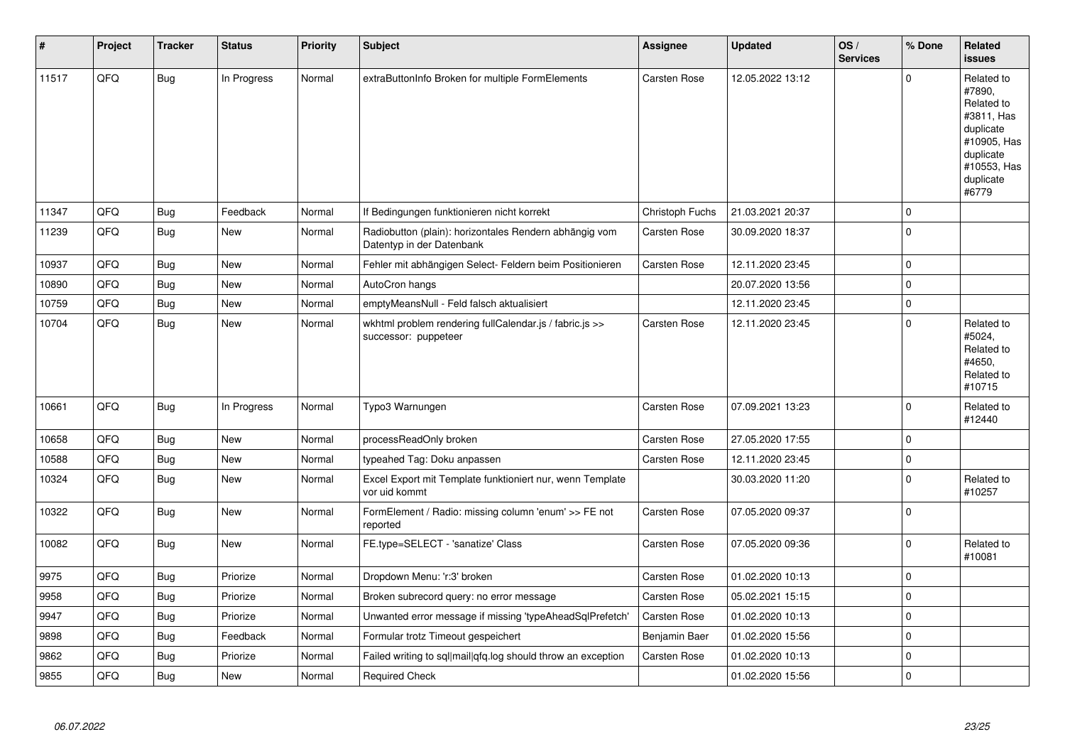| #     | Project | <b>Tracker</b> | <b>Status</b> | <b>Priority</b> | <b>Subject</b>                                                                      | Assignee            | <b>Updated</b>   | OS/<br><b>Services</b> | % Done      | Related<br><b>issues</b>                                                                                                       |
|-------|---------|----------------|---------------|-----------------|-------------------------------------------------------------------------------------|---------------------|------------------|------------------------|-------------|--------------------------------------------------------------------------------------------------------------------------------|
| 11517 | QFQ     | <b>Bug</b>     | In Progress   | Normal          | extraButtonInfo Broken for multiple FormElements                                    | Carsten Rose        | 12.05.2022 13:12 |                        | $\Omega$    | Related to<br>#7890,<br>Related to<br>#3811, Has<br>duplicate<br>#10905, Has<br>duplicate<br>#10553, Has<br>duplicate<br>#6779 |
| 11347 | QFQ     | <b>Bug</b>     | Feedback      | Normal          | If Bedingungen funktionieren nicht korrekt                                          | Christoph Fuchs     | 21.03.2021 20:37 |                        | $\pmb{0}$   |                                                                                                                                |
| 11239 | QFQ     | <b>Bug</b>     | <b>New</b>    | Normal          | Radiobutton (plain): horizontales Rendern abhängig vom<br>Datentyp in der Datenbank | Carsten Rose        | 30.09.2020 18:37 |                        | $\mathbf 0$ |                                                                                                                                |
| 10937 | QFQ     | Bug            | <b>New</b>    | Normal          | Fehler mit abhängigen Select- Feldern beim Positionieren                            | Carsten Rose        | 12.11.2020 23:45 |                        | 0           |                                                                                                                                |
| 10890 | QFQ     | Bug            | <b>New</b>    | Normal          | AutoCron hangs                                                                      |                     | 20.07.2020 13:56 |                        | $\mathbf 0$ |                                                                                                                                |
| 10759 | QFQ     | <b>Bug</b>     | <b>New</b>    | Normal          | emptyMeansNull - Feld falsch aktualisiert                                           |                     | 12.11.2020 23:45 |                        | $\mathbf 0$ |                                                                                                                                |
| 10704 | QFQ     | Bug            | <b>New</b>    | Normal          | wkhtml problem rendering fullCalendar.js / fabric.js >><br>successor: puppeteer     | Carsten Rose        | 12.11.2020 23:45 |                        | $\mathbf 0$ | Related to<br>#5024,<br>Related to<br>#4650.<br>Related to<br>#10715                                                           |
| 10661 | QFQ     | Bug            | In Progress   | Normal          | Typo3 Warnungen                                                                     | <b>Carsten Rose</b> | 07.09.2021 13:23 |                        | $\mathbf 0$ | Related to<br>#12440                                                                                                           |
| 10658 | QFQ     | <b>Bug</b>     | <b>New</b>    | Normal          | processReadOnly broken                                                              | Carsten Rose        | 27.05.2020 17:55 |                        | $\mathbf 0$ |                                                                                                                                |
| 10588 | QFQ     | <b>Bug</b>     | New           | Normal          | typeahed Tag: Doku anpassen                                                         | Carsten Rose        | 12.11.2020 23:45 |                        | $\pmb{0}$   |                                                                                                                                |
| 10324 | QFQ     | <b>Bug</b>     | <b>New</b>    | Normal          | Excel Export mit Template funktioniert nur, wenn Template<br>vor uid kommt          |                     | 30.03.2020 11:20 |                        | $\mathbf 0$ | Related to<br>#10257                                                                                                           |
| 10322 | QFQ     | <b>Bug</b>     | <b>New</b>    | Normal          | FormElement / Radio: missing column 'enum' >> FE not<br>reported                    | Carsten Rose        | 07.05.2020 09:37 |                        | $\mathbf 0$ |                                                                                                                                |
| 10082 | QFQ     | Bug            | New           | Normal          | FE.type=SELECT - 'sanatize' Class                                                   | Carsten Rose        | 07.05.2020 09:36 |                        | $\pmb{0}$   | Related to<br>#10081                                                                                                           |
| 9975  | QFQ     | <b>Bug</b>     | Priorize      | Normal          | Dropdown Menu: 'r:3' broken                                                         | <b>Carsten Rose</b> | 01.02.2020 10:13 |                        | $\mathbf 0$ |                                                                                                                                |
| 9958  | QFQ     | <b>Bug</b>     | Priorize      | Normal          | Broken subrecord query: no error message                                            | Carsten Rose        | 05.02.2021 15:15 |                        | $\pmb{0}$   |                                                                                                                                |
| 9947  | QFQ     | Bug            | Priorize      | Normal          | Unwanted error message if missing 'typeAheadSqlPrefetch'                            | Carsten Rose        | 01.02.2020 10:13 |                        | $\mathbf 0$ |                                                                                                                                |
| 9898  | QFQ     | <b>Bug</b>     | Feedback      | Normal          | Formular trotz Timeout gespeichert                                                  | Benjamin Baer       | 01.02.2020 15:56 |                        | $\pmb{0}$   |                                                                                                                                |
| 9862  | QFQ     | Bug            | Priorize      | Normal          | Failed writing to sql mail qfq.log should throw an exception                        | <b>Carsten Rose</b> | 01.02.2020 10:13 |                        | $\pmb{0}$   |                                                                                                                                |
| 9855  | QFQ     | <b>Bug</b>     | <b>New</b>    | Normal          | <b>Required Check</b>                                                               |                     | 01.02.2020 15:56 |                        | $\mathbf 0$ |                                                                                                                                |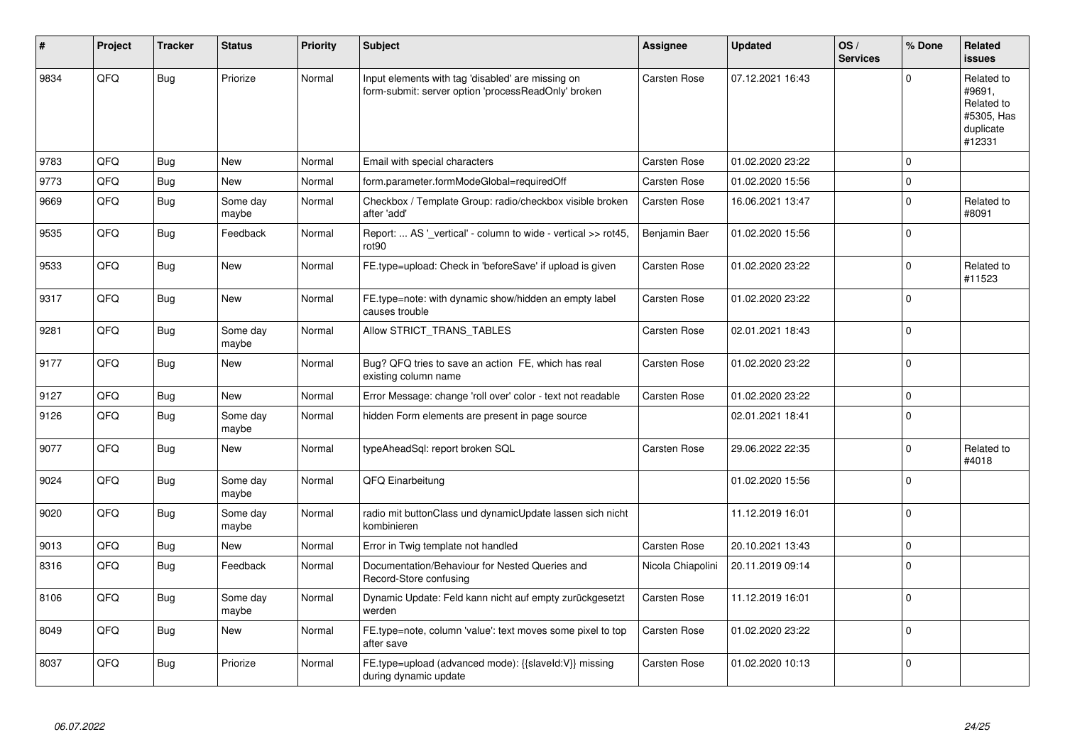| #    | Project | <b>Tracker</b> | <b>Status</b>     | Priority | <b>Subject</b>                                                                                           | Assignee            | <b>Updated</b>   | OS/<br><b>Services</b> | % Done   | Related<br><b>issues</b>                                                |
|------|---------|----------------|-------------------|----------|----------------------------------------------------------------------------------------------------------|---------------------|------------------|------------------------|----------|-------------------------------------------------------------------------|
| 9834 | QFQ     | Bug            | Priorize          | Normal   | Input elements with tag 'disabled' are missing on<br>form-submit: server option 'processReadOnly' broken | <b>Carsten Rose</b> | 07.12.2021 16:43 |                        | $\Omega$ | Related to<br>#9691,<br>Related to<br>#5305, Has<br>duplicate<br>#12331 |
| 9783 | QFQ     | <b>Bug</b>     | New               | Normal   | Email with special characters                                                                            | Carsten Rose        | 01.02.2020 23:22 |                        | $\Omega$ |                                                                         |
| 9773 | QFQ     | Bug            | New               | Normal   | form.parameter.formModeGlobal=requiredOff                                                                | <b>Carsten Rose</b> | 01.02.2020 15:56 |                        | $\Omega$ |                                                                         |
| 9669 | QFQ     | <b>Bug</b>     | Some day<br>maybe | Normal   | Checkbox / Template Group: radio/checkbox visible broken<br>after 'add'                                  | <b>Carsten Rose</b> | 16.06.2021 13:47 |                        | $\Omega$ | Related to<br>#8091                                                     |
| 9535 | QFQ     | Bug            | Feedback          | Normal   | Report:  AS ' vertical' - column to wide - vertical >> rot45,<br>rot90                                   | Benjamin Baer       | 01.02.2020 15:56 |                        | $\Omega$ |                                                                         |
| 9533 | QFQ     | <b>Bug</b>     | New               | Normal   | FE.type=upload: Check in 'beforeSave' if upload is given                                                 | Carsten Rose        | 01.02.2020 23:22 |                        | 0        | Related to<br>#11523                                                    |
| 9317 | QFQ     | <b>Bug</b>     | New               | Normal   | FE.type=note: with dynamic show/hidden an empty label<br>causes trouble                                  | Carsten Rose        | 01.02.2020 23:22 |                        | $\Omega$ |                                                                         |
| 9281 | QFQ     | <b>Bug</b>     | Some day<br>maybe | Normal   | Allow STRICT TRANS TABLES                                                                                | Carsten Rose        | 02.01.2021 18:43 |                        | $\Omega$ |                                                                         |
| 9177 | QFQ     | <b>Bug</b>     | New               | Normal   | Bug? QFQ tries to save an action FE, which has real<br>existing column name                              | <b>Carsten Rose</b> | 01.02.2020 23:22 |                        | $\Omega$ |                                                                         |
| 9127 | QFQ     | <b>Bug</b>     | New               | Normal   | Error Message: change 'roll over' color - text not readable                                              | Carsten Rose        | 01.02.2020 23:22 |                        | $\Omega$ |                                                                         |
| 9126 | QFQ     | Bug            | Some day<br>maybe | Normal   | hidden Form elements are present in page source                                                          |                     | 02.01.2021 18:41 |                        | $\Omega$ |                                                                         |
| 9077 | QFQ     | <b>Bug</b>     | New               | Normal   | typeAheadSql: report broken SQL                                                                          | Carsten Rose        | 29.06.2022 22:35 |                        | $\Omega$ | Related to<br>#4018                                                     |
| 9024 | QFQ     | Bug            | Some day<br>maybe | Normal   | QFQ Einarbeitung                                                                                         |                     | 01.02.2020 15:56 |                        | $\Omega$ |                                                                         |
| 9020 | QFQ     | <b>Bug</b>     | Some day<br>maybe | Normal   | radio mit buttonClass und dynamicUpdate lassen sich nicht<br>kombinieren                                 |                     | 11.12.2019 16:01 |                        | $\Omega$ |                                                                         |
| 9013 | QFQ     | <b>Bug</b>     | <b>New</b>        | Normal   | Error in Twig template not handled                                                                       | <b>Carsten Rose</b> | 20.10.2021 13:43 |                        | $\Omega$ |                                                                         |
| 8316 | QFQ     | Bug            | Feedback          | Normal   | Documentation/Behaviour for Nested Queries and<br>Record-Store confusing                                 | Nicola Chiapolini   | 20.11.2019 09:14 |                        | $\Omega$ |                                                                         |
| 8106 | QFQ     | <b>Bug</b>     | Some day<br>maybe | Normal   | Dynamic Update: Feld kann nicht auf empty zurückgesetzt<br>werden                                        | <b>Carsten Rose</b> | 11.12.2019 16:01 |                        | $\Omega$ |                                                                         |
| 8049 | QFQ     | Bug            | New               | Normal   | FE.type=note, column 'value': text moves some pixel to top<br>after save                                 | Carsten Rose        | 01.02.2020 23:22 |                        | $\Omega$ |                                                                         |
| 8037 | QFQ     | <b>Bug</b>     | Priorize          | Normal   | FE.type=upload (advanced mode): {{slaveId:V}} missing<br>during dynamic update                           | Carsten Rose        | 01.02.2020 10:13 |                        | $\Omega$ |                                                                         |